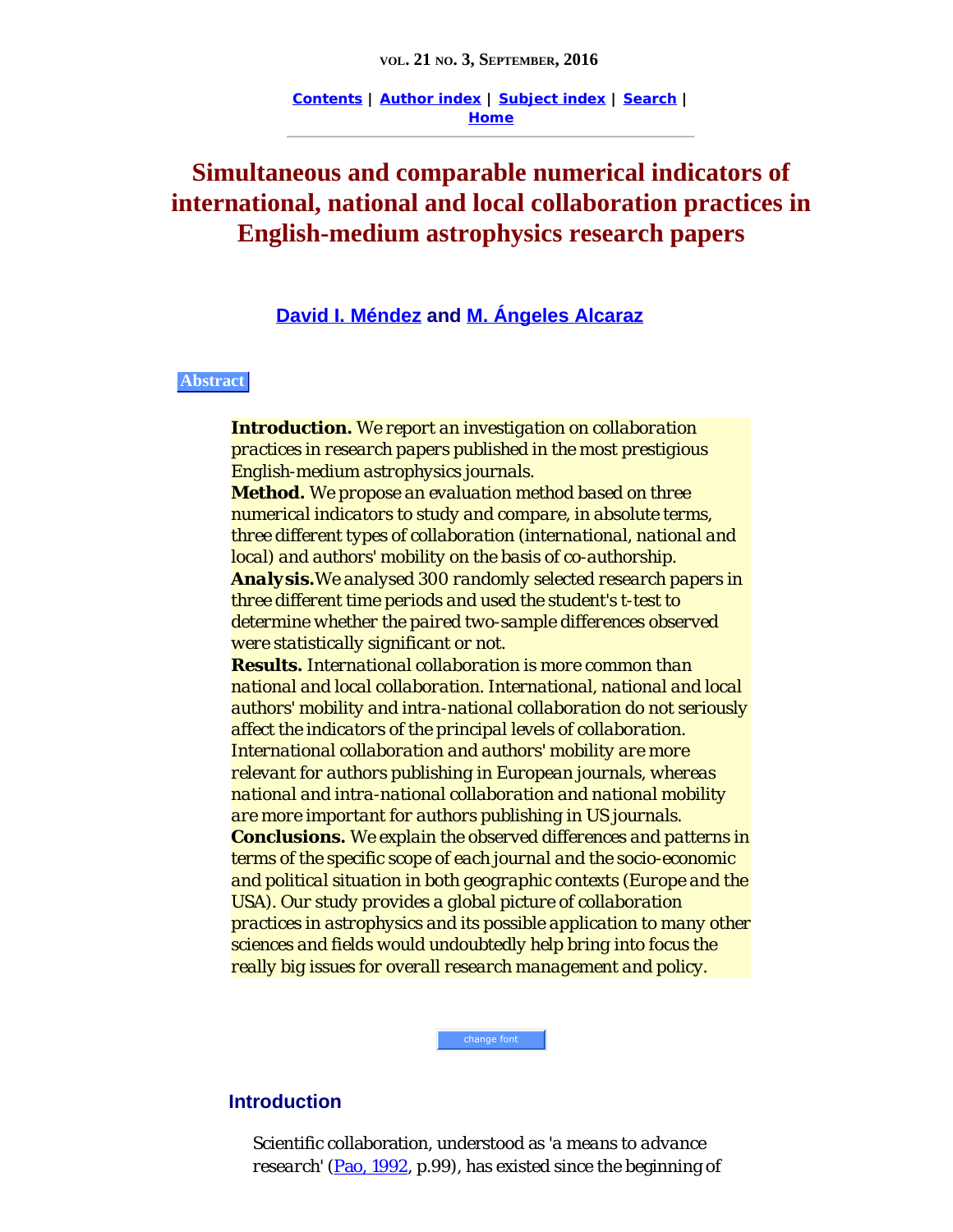**[Contents](http://www.informationr.net/ir/21-3/infres213.html) | [Author index](http://www.informationr.net/ir/iraindex.html) | [Subject index](http://www.informationr.net/ir/irsindex.html) | [Search](http://www.informationr.net/ir/search.html) | [Home](http://www.informationr.net/ir/index.html)**

# <span id="page-0-0"></span>**Simultaneous and comparable numerical indicators of international, national and local collaboration practices in English-medium astrophysics research papers**

**[David I. Méndez](#page-24-0) and [M. Ángeles Alcaraz](#page-24-0)**

#### **Abstract**

*Introduction. We report an investigation on collaboration practices in research papers published in the most prestigious English-medium astrophysics journals. Method. We propose an evaluation method based on three numerical indicators to study and compare, in absolute terms, three different types of collaboration (international, national and local) and authors' mobility on the basis of co-authorship. Analysis.We analysed 300 randomly selected research papers in three different time periods and used the student's t-test to determine whether the paired two-sample differences observed were statistically significant or not. Results. International collaboration is more common than national and local collaboration. International, national and local authors' mobility and intra-national collaboration do not seriously affect the indicators of the principal levels of collaboration. International collaboration and authors' mobility are more relevant for authors publishing in European journals, whereas national and intra-national collaboration and national mobility are more important for authors publishing in US journals. Conclusions. We explain the observed differences and patterns in terms of the specific scope of each journal and the socio-economic and political situation in both geographic contexts (Europe and the USA). Our study provides a global picture of collaboration practices in astrophysics and its possible application to many other sciences and fields would undoubtedly help bring into focus the really big issues for overall research management and policy.*

#### **Introduction**

Scientific collaboration, understood as '*a means to advance research*' [\(Pao, 1992](#page-27-0), p.99), has existed since the beginning of

change font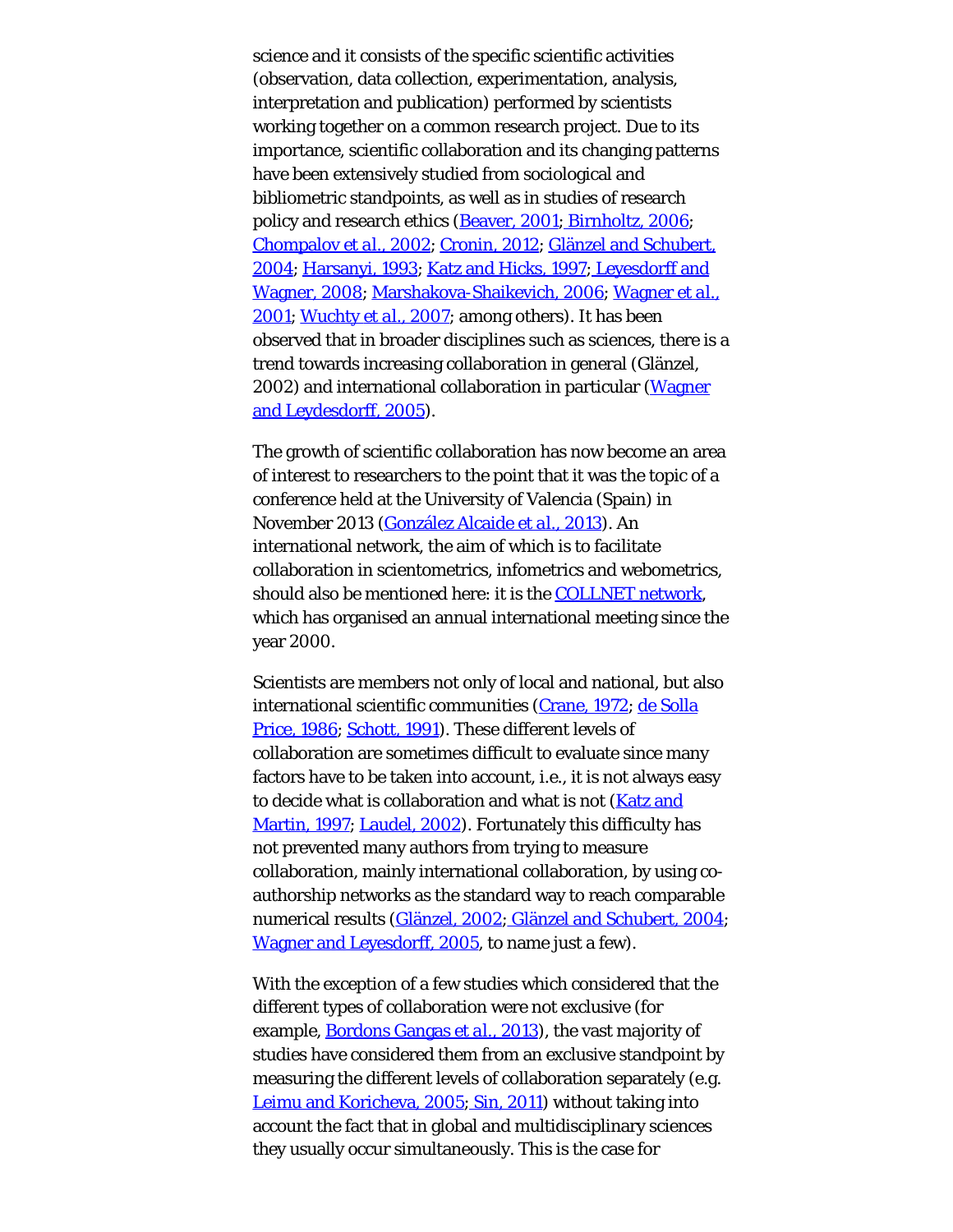science and it consists of the specific scientific activities (observation, data collection, experimentation, analysis, interpretation and publication) performed by scientists working together on a common research project. Due to its importance, scientific collaboration and its changing patterns have been extensively studied from sociological and bibliometric standpoints, as well as in studies of research policy and research ethics [\(Beaver, 2001; Birnholtz, 2006](#page-27-0); [Chompalov](#page-27-0) *[et al.](#page-27-0)*[, 2002](#page-27-0); [Cronin, 2012](#page-27-0); [Glänzel and Schubert,](#page-27-0) [2004](#page-27-0); [Harsanyi, 1993](#page-27-0); [Katz and Hicks, 1997; Leyesdorff and](#page-27-0) [Wagner, 2008](#page-27-0); [Marshakova-Shaikevich, 2006](#page-27-0); [Wagner](#page-27-1) *[et al.](#page-27-1)*[,](#page-27-1) [2001](#page-27-1); [Wuchty](#page-27-2) *[et al.](#page-27-2)*[, 2007](#page-27-2); among others). It has been observed that in broader disciplines such as sciences, there is a trend towards increasing collaboration in general (Glänzel, 2002) and international collaboration in particular ([Wagner](#page-27-3) [and Leydesdorff, 2005](#page-27-3)).

The growth of scientific collaboration has now become an area of interest to researchers to the point that it was the topic of a conference held at the University of Valencia (Spain) in November 2013 ([González Alcaide](#page-27-0) *[et al.](#page-27-0)*[, 2013](#page-27-0)). An international network, the aim of which is to facilitate collaboration in scientometrics, infometrics and webometrics, should also be mentioned here: it is the [COLLNET network](http://www.collnet.de/), which has organised an annual international meeting since the year 2000.

Scientists are members not only of local and national, but also international scientific communities [\(Crane, 1972](#page-27-0); [de Solla](#page-27-0) [Price, 1986](#page-27-0); [Schott, 1991](#page-27-4)). These different levels of collaboration are sometimes difficult to evaluate since many factors have to be taken into account, i.e., it is not always easy to decide what is collaboration and what is not (**[Katz and](#page-27-0)** [Martin, 1997](#page-27-0); [Laudel, 2002](#page-27-0)). Fortunately this difficulty has not prevented many authors from trying to measure collaboration, mainly international collaboration, by using coauthorship networks as the standard way to reach comparable numerical results [\(Glänzel, 2002; Glänzel and Schubert, 2004](#page-27-0); [Wagner and Leyesdorff, 2005](#page-27-3), to name just a few).

With the exception of a few studies which considered that the different types of collaboration were not exclusive (for example, [Bordons Gangas](#page-27-0) *[et al.](#page-27-0)*[, 2013](#page-27-0)), the vast majority of studies have considered them from an exclusive standpoint by measuring the different levels of collaboration separately (e.g. [Leimu and Koricheva, 2005](#page-27-0)[; Sin, 2011](#page-27-5)) without taking into account the fact that in global and multidisciplinary sciences they usually occur simultaneously. This is the case for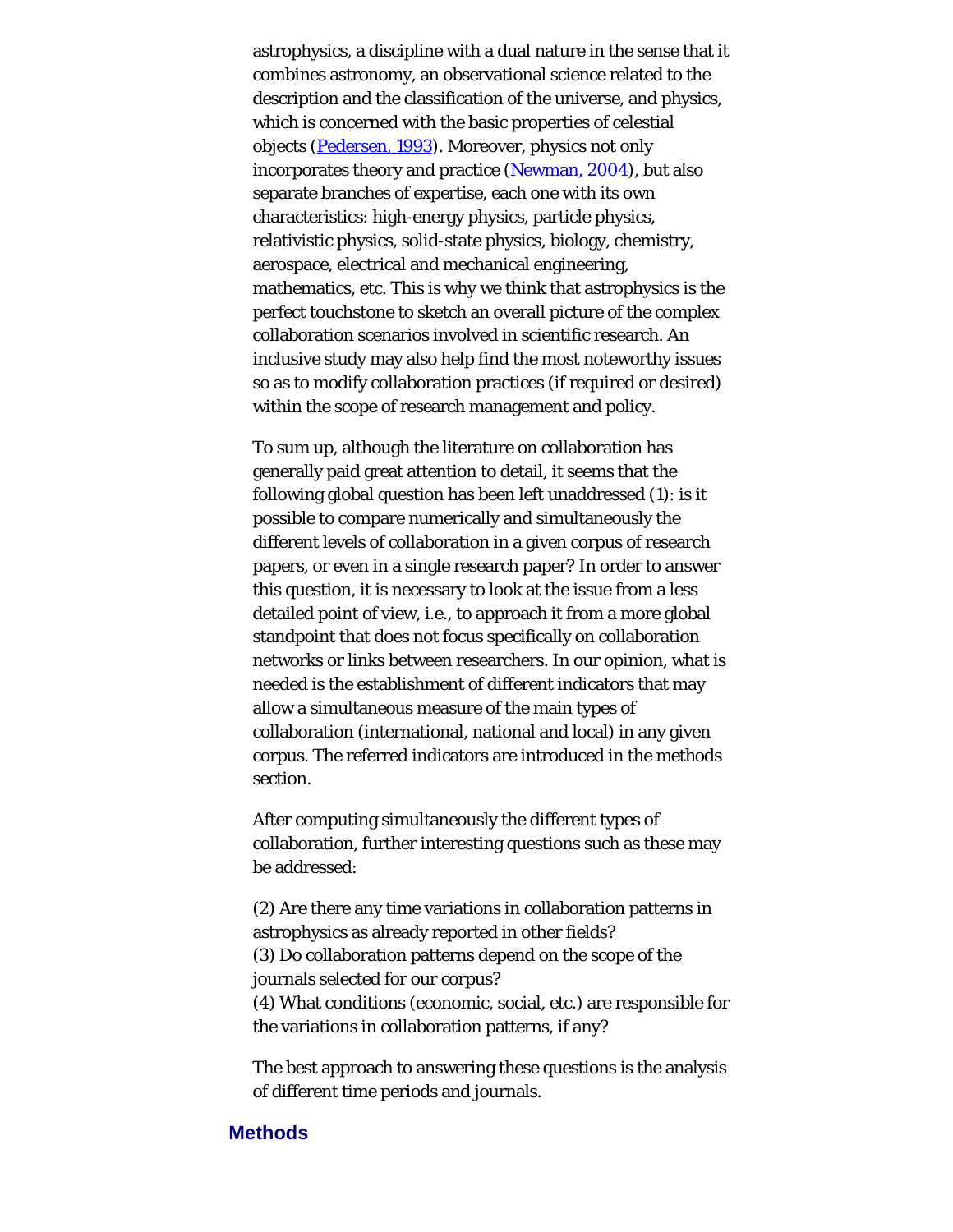astrophysics, a discipline with a dual nature in the sense that it combines astronomy, an observational science related to the description and the classification of the universe, and physics, which is concerned with the basic properties of celestial objects [\(Pedersen, 1993](#page-27-6)). Moreover, physics not only incorporates theory and practice ([Newman, 2004](#page-27-0)), but also separate branches of expertise, each one with its own characteristics: high-energy physics, particle physics, relativistic physics, solid-state physics, biology, chemistry, aerospace, electrical and mechanical engineering, mathematics, etc. This is why we think that astrophysics is the perfect touchstone to sketch an overall picture of the complex collaboration scenarios involved in scientific research. An inclusive study may also help find the most noteworthy issues so as to modify collaboration practices (if required or desired) within the scope of research management and policy.

To sum up, although the literature on collaboration has generally paid great attention to detail, it seems that the following global question has been left unaddressed (1): is it possible to compare numerically and simultaneously the different levels of collaboration in a given corpus of research papers, or even in a single research paper? In order to answer this question, it is necessary to look at the issue from a less detailed point of view, i.e., to approach it from a more global standpoint that does not focus specifically on collaboration networks or links between researchers. In our opinion, what is needed is the establishment of different indicators that may allow a simultaneous measure of the main types of collaboration (international, national and local) in any given corpus. The referred indicators are introduced in the *methods* section.

After computing simultaneously the different types of collaboration, further interesting questions such as these may be addressed:

(2) Are there any time variations in collaboration patterns in astrophysics as already reported in other fields? (3) Do collaboration patterns depend on the scope of the journals selected for our corpus? (4) What conditions (economic, social, etc.) are responsible for the variations in collaboration patterns, if any?

The best approach to answering these questions is the analysis of different time periods and journals.

#### **Methods**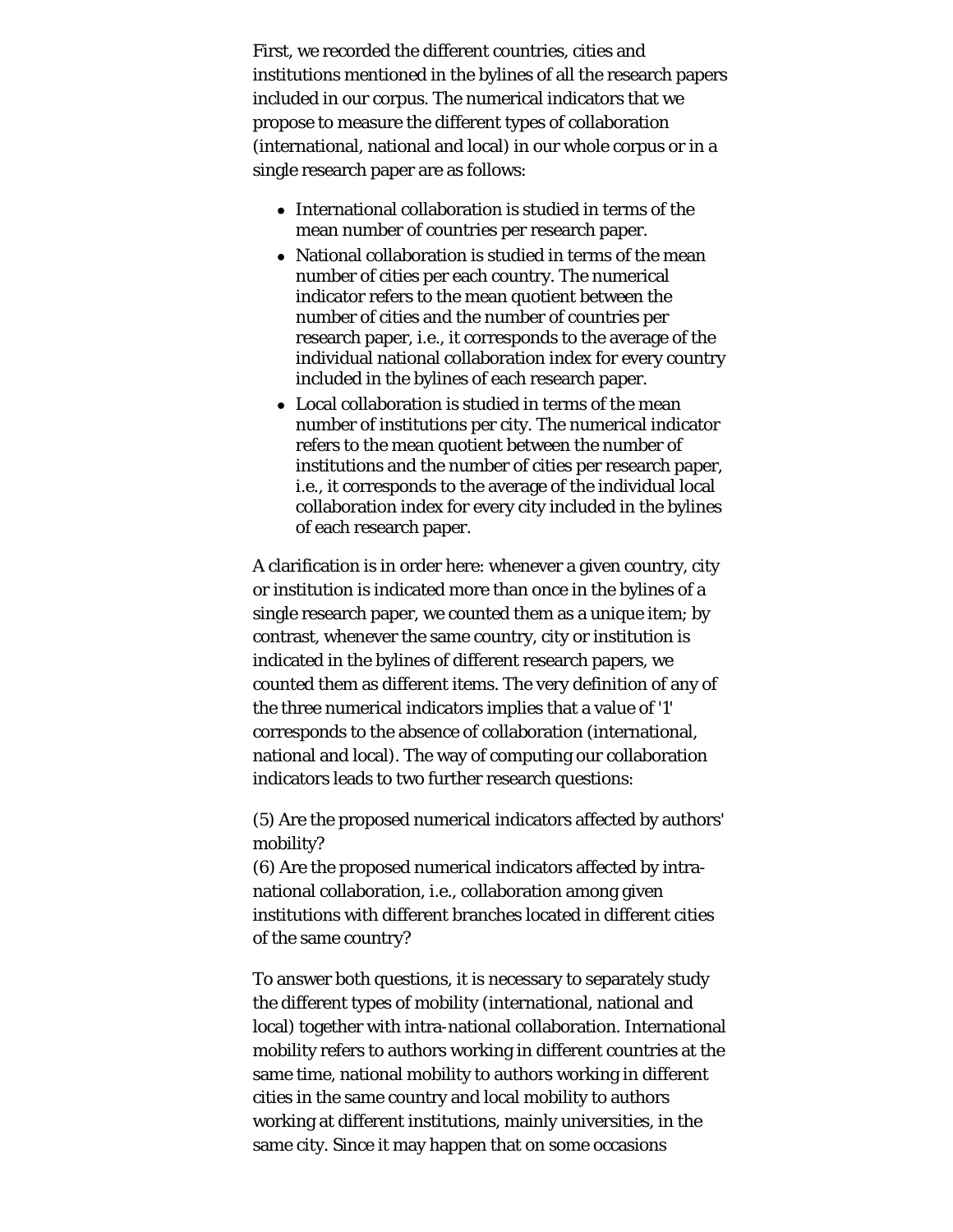First, we recorded the different countries, cities and institutions mentioned in the bylines of all the research papers included in our corpus. The numerical indicators that we propose to measure the different types of collaboration (international, national and local) in our whole corpus or in a single research paper are as follows:

- International collaboration is studied in terms of the mean number of countries per research paper.
- National collaboration is studied in terms of the mean number of cities per each country. The numerical indicator refers to the mean quotient between the number of cities and the number of countries per research paper, i.e., it corresponds to the average of the individual national collaboration index for every country included in the bylines of each research paper.
- Local collaboration is studied in terms of the mean number of institutions per city. The numerical indicator refers to the mean quotient between the number of institutions and the number of cities per research paper, i.e., it corresponds to the average of the individual local collaboration index for every city included in the bylines of each research paper.

A clarification is in order here: whenever a given country, city or institution is indicated more than once in the bylines of a single research paper, we counted them as a unique item; by contrast, whenever the same country, city or institution is indicated in the bylines of different research papers, we counted them as different items. The very definition of any of the three numerical indicators implies that a value of '1' corresponds to the absence of collaboration (international, national and local). The way of computing our collaboration indicators leads to two further research questions:

(5) Are the proposed numerical indicators affected by authors' mobility?

(6) Are the proposed numerical indicators affected by intranational collaboration, i.e., collaboration among given institutions with different branches located in different cities of the same country?

To answer both questions, it is necessary to separately study the different types of mobility (international, national and local) together with intra-national collaboration. International mobility refers to authors working in different countries at the same time, national mobility to authors working in different cities in the same country and local mobility to authors working at different institutions, mainly universities, in the same city. Since it may happen that on some occasions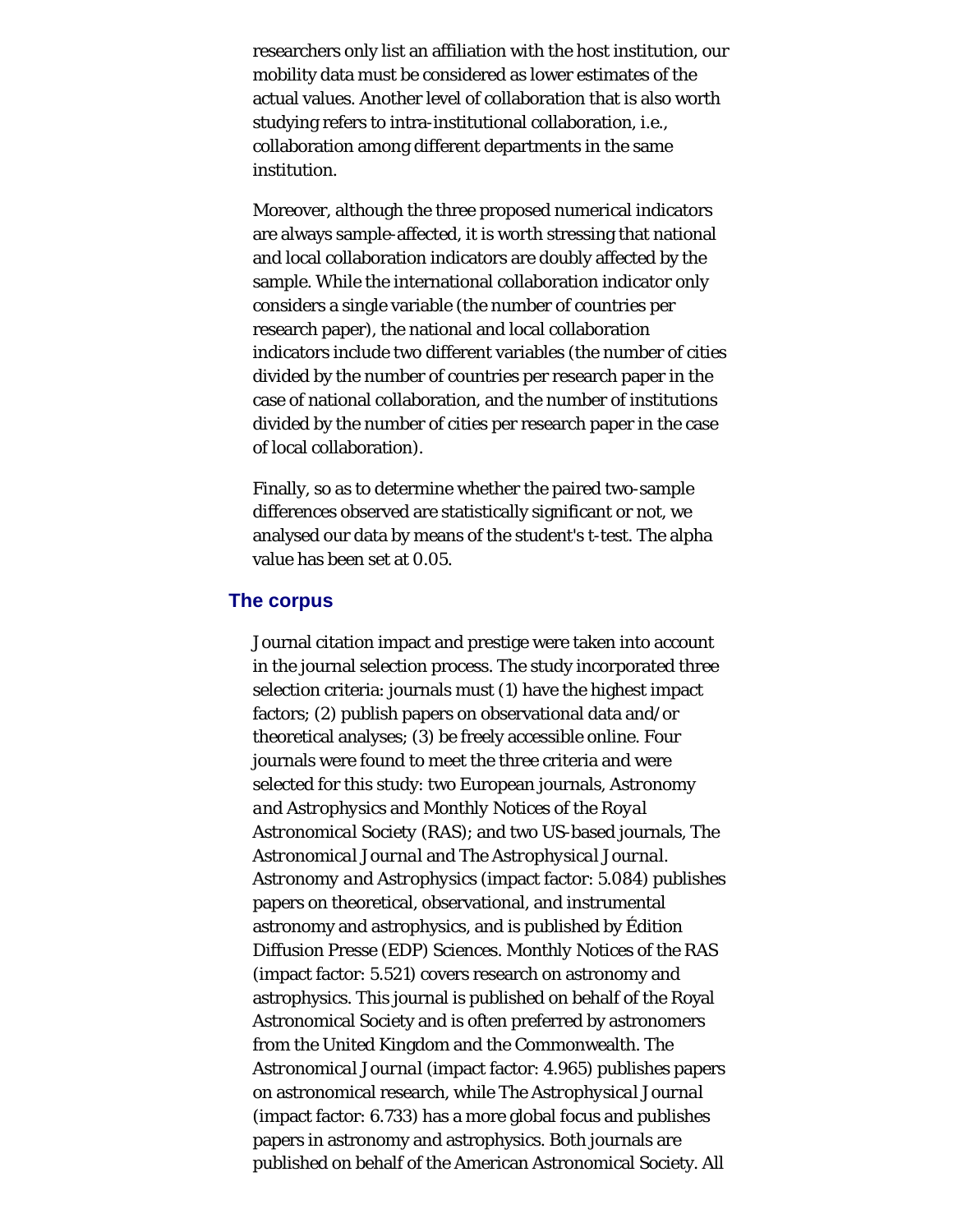researchers only list an affiliation with the host institution, our mobility data must be considered as lower estimates of the actual values. Another level of collaboration that is also worth studying refers to intra-institutional collaboration, i.e., collaboration among different departments in the same institution.

Moreover, although the three proposed numerical indicators are always sample-affected, it is worth stressing that national and local collaboration indicators are doubly affected by the sample. While the international collaboration indicator only considers a single variable (the number of countries per research paper), the national and local collaboration indicators include two different variables (the number of cities divided by the number of countries per research paper in the case of national collaboration, and the number of institutions divided by the number of cities per research paper in the case of local collaboration).

Finally, so as to determine whether the paired two-sample differences observed are statistically significant or not, we analysed our data by means of the student's t-test. The alpha value has been set at 0.05.

#### **The corpus**

Journal citation impact and prestige were taken into account in the journal selection process. The study incorporated three selection criteria: journals must (1) have the highest impact factors; (2) publish papers on observational data and/or theoretical analyses; (3) be freely accessible online. Four journals were found to meet the three criteria and were selected for this study: two European journals, *Astronomy and Astrophysics* and *Monthly Notices of the Royal Astronomical Society* (RAS); and two US-based journals, *The Astronomical Journal* and *The Astrophysical Journal*. *Astronomy and Astrophysics* (impact factor: 5.084) publishes papers on theoretical, observational, and instrumental astronomy and astrophysics, and is published by Édition Diffusion Presse (EDP) Sciences. *Monthly Notices of the RAS* (impact factor: 5.521) covers research on astronomy and astrophysics. This journal is published on behalf of the Royal Astronomical Society and is often preferred by astronomers from the United Kingdom and the Commonwealth. *The Astronomical Journal* (impact factor: 4.965) publishes papers on astronomical research, while *The Astrophysical Journal* (impact factor: 6.733) has a more global focus and publishes papers in astronomy and astrophysics. Both journals are published on behalf of the American Astronomical Society. All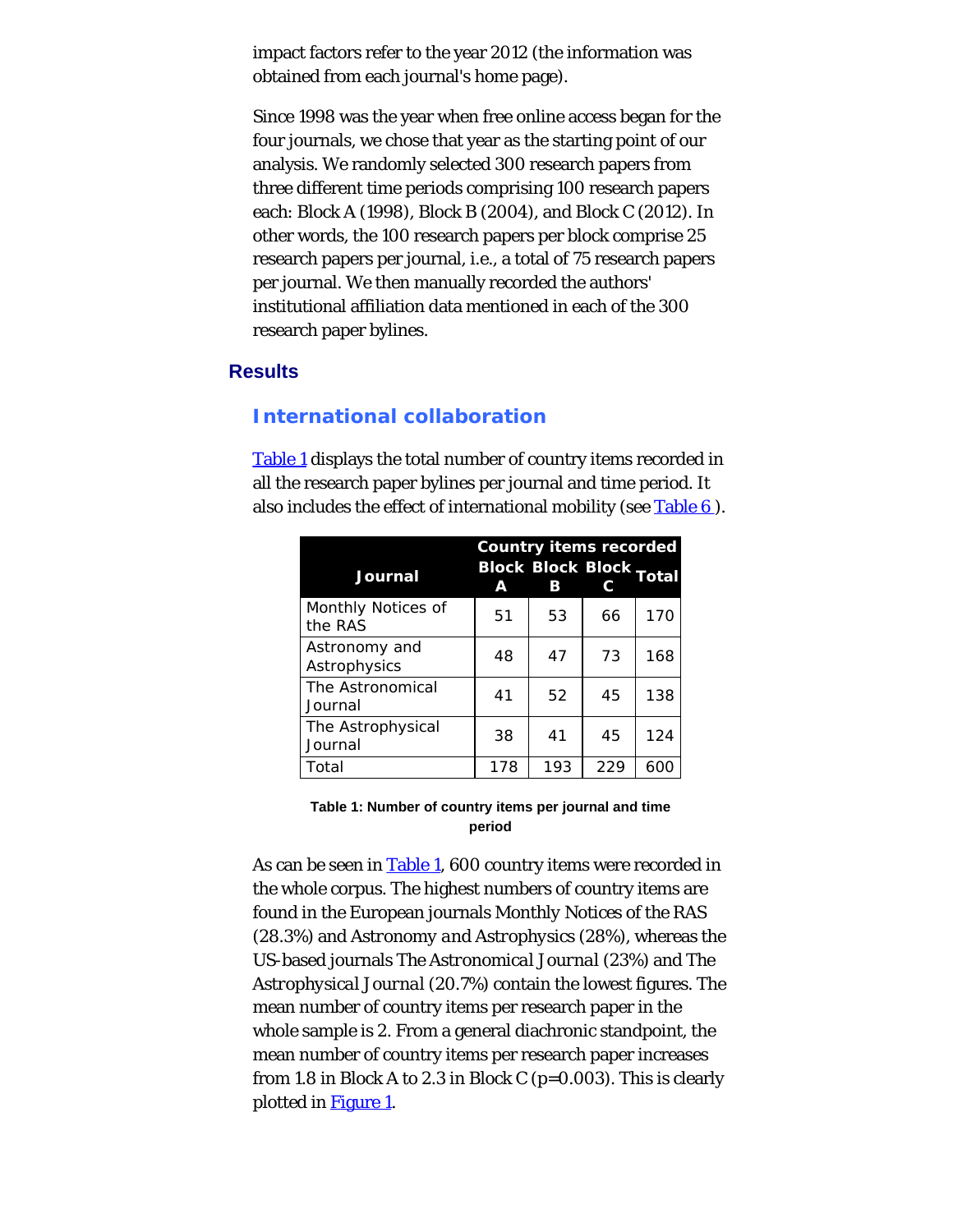impact factors refer to the year 2012 (the information was obtained from each journal's home page).

Since 1998 was the year when free online access began for the four journals, we chose that year as the starting point of our analysis. We randomly selected 300 research papers from three different time periods comprising 100 research papers each: Block A (1998), Block B (2004), and Block C (2012). In other words, the 100 research papers per block comprise 25 research papers per journal, i.e., a total of 75 research papers per journal. We then manually recorded the authors' institutional affiliation data mentioned in each of the 300 research paper bylines.

#### **Results**

# **International collaboration**

<span id="page-5-0"></span>[Table 1](#page-5-0) displays the total number of country items recorded in all the research paper bylines per journal and time period. It also includes the effect of international mobility (see Table 6).

| Journal                       | A   | <b>Country items recorded</b><br><b>Block Block Block Total</b><br>в |     |     |
|-------------------------------|-----|----------------------------------------------------------------------|-----|-----|
| Monthly Notices of<br>the RAS | 51  | 53                                                                   | 66  | 170 |
| Astronomy and<br>Astrophysics | 48  | 47                                                                   | 73  | 168 |
| The Astronomical<br>Journal   | 41  | 52                                                                   | 45  | 138 |
| The Astrophysical<br>Journal  | 38  | 41                                                                   | 45  | 124 |
| Total                         | 178 | 193                                                                  | 229 | 600 |

**Table 1: Number of country items per journal and time period**

As can be seen in [Table 1](#page-5-0), 600 country items were recorded in the whole corpus. The highest numbers of country items are found in the European journals *Monthly Notices of the RAS* (28.3%) and *Astronomy and Astrophysics* (28%), whereas the US-based journals *The Astronomical Journal* (23%) and *The Astrophysical Journal* (20.7%) contain the lowest figures. The mean number of country items per research paper in the whole sample is 2. From a general diachronic standpoint, the mean number of country items per research paper increases from 1.8 in Block A to 2.3 in Block C (p=0.003). This is clearly plotted in [Figure 1](#page-0-0).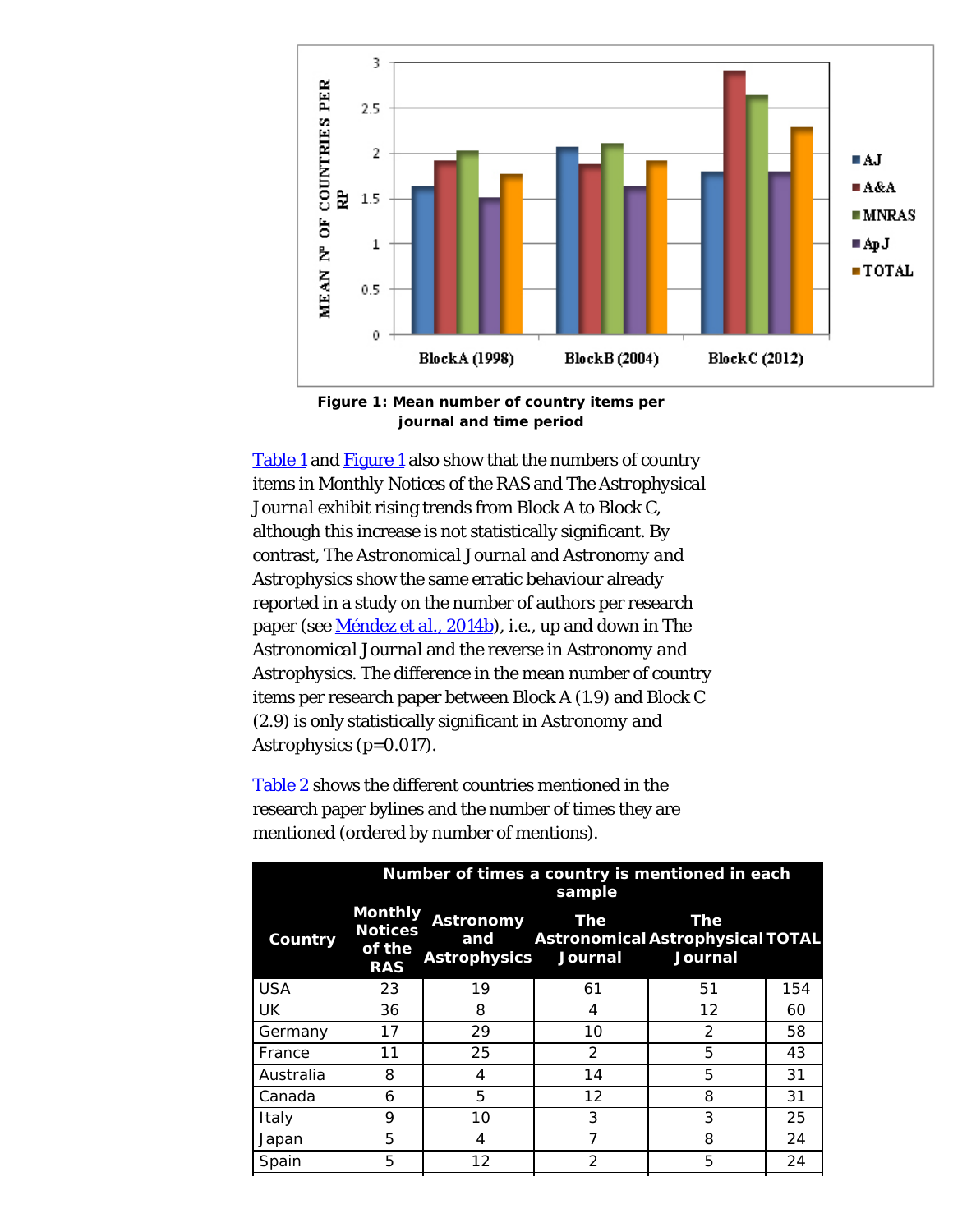<span id="page-6-0"></span>

**Figure 1: Mean number of country items per journal and time period**

[Table 1](#page-5-0) and **Figure 1** also show that the numbers of country items in *Monthly Notices of the RAS* and *The Astrophysical Journal* exhibit rising trends from Block A to Block C, although this increase is not statistically significant. By contrast, *The Astronomical Journal* and *Astronomy and Astrophysics* show the same erratic behaviour already reported in a study on the number of authors per research paper (see [Méndez](#page-27-0) *[et al.](#page-27-0)*[, 2014b](#page-27-0)), i.e., up and down in *The Astronomical Journal* and the reverse in *Astronomy and Astrophysics*. The difference in the mean number of country items per research paper between Block A (1.9) and Block C (2.9) is only statistically significant in *Astronomy and Astrophysics* (p=0.017).

[Table 2](#page-7-0) shows the different countries mentioned in the research paper bylines and the number of times they are mentioned (ordered by number of mentions).

| Number of times a country is mentioned in each<br>sample |                         |               |               |                                                                  |  |  |
|----------------------------------------------------------|-------------------------|---------------|---------------|------------------------------------------------------------------|--|--|
| <b>Monthly</b><br><b>Notices</b><br>of the<br><b>RAS</b> | <b>Astronomy</b><br>and | The           | The           |                                                                  |  |  |
| 23                                                       | 19                      | 61            | 51            | 154                                                              |  |  |
| 36                                                       | 8                       | 4             | 12            | 60                                                               |  |  |
| 17                                                       | 29                      | 10            | $\mathcal{P}$ | 58                                                               |  |  |
| 11                                                       | 25                      | 2             | 5             | 43                                                               |  |  |
| 8                                                        | 4                       | 14            | 5             | 31                                                               |  |  |
| 6                                                        | 5                       | 12            | 8             | 31                                                               |  |  |
| 9                                                        | 10                      | 3             | 3             | 25                                                               |  |  |
| 5                                                        | 4                       | 7             | 8             | 24                                                               |  |  |
| 5                                                        | 12                      | $\mathcal{P}$ | 5             | 24                                                               |  |  |
|                                                          |                         |               |               | Astronomical Astrophysical TOTAL<br>Astrophysics Journal Journal |  |  |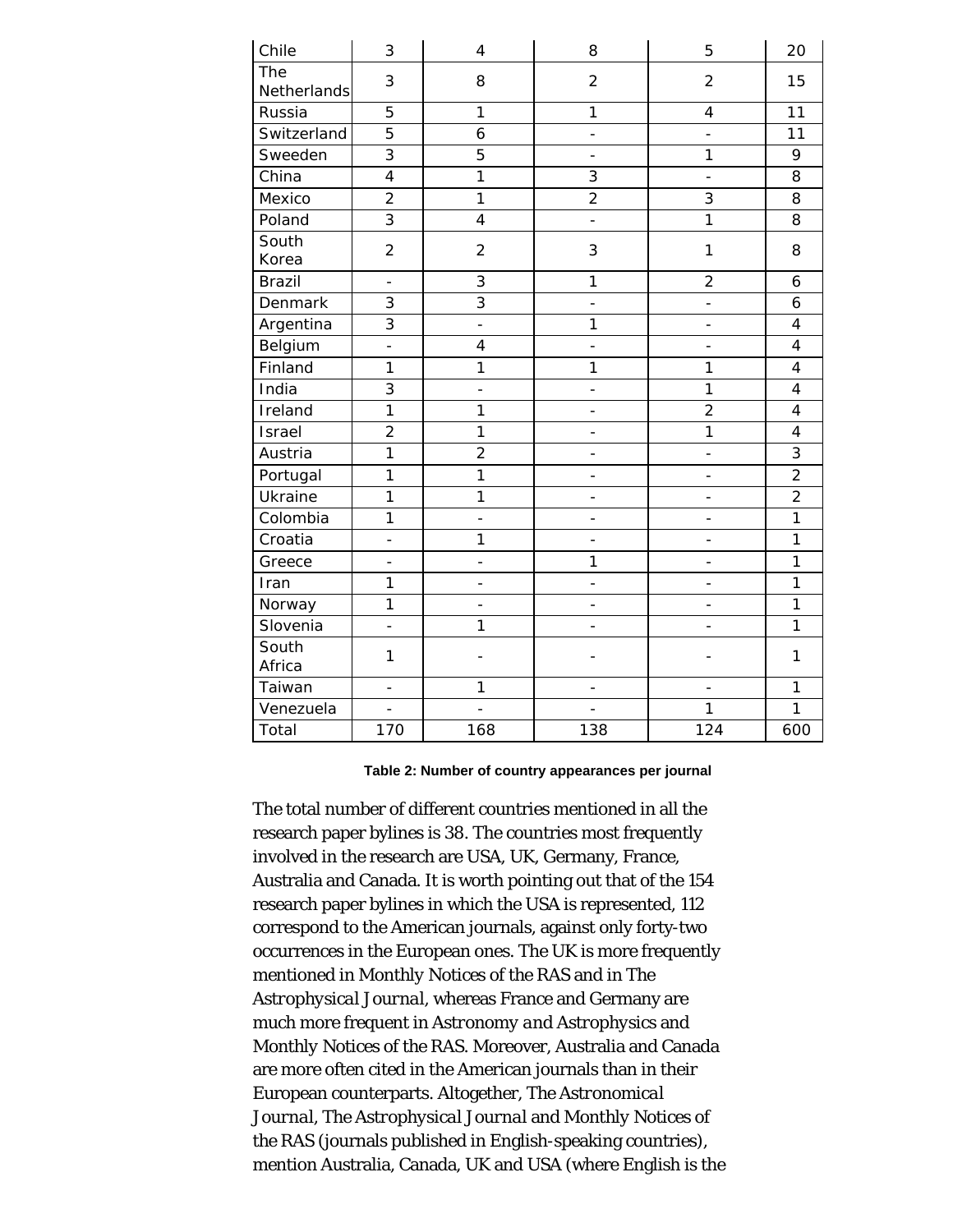<span id="page-7-0"></span>

| Chile              | 3                        | $\overline{4}$           | 8                        | 5                        | 20             |
|--------------------|--------------------------|--------------------------|--------------------------|--------------------------|----------------|
| The<br>Netherlands | 3                        | 8                        | $\overline{2}$           | $\overline{2}$           | 15             |
| Russia             | 5                        | $\mathbf{1}$             | 1                        | $\overline{\mathbf{4}}$  | 11             |
| Switzerland        | 5                        | 6                        | $\overline{\phantom{0}}$ | $\overline{a}$           | 11             |
| Sweeden            | $\overline{3}$           | 5                        | $\overline{\phantom{0}}$ | 1                        | 9              |
| China              | $\overline{4}$           | $\mathbf{1}$             | 3                        | $\overline{\phantom{0}}$ | 8              |
| Mexico             | $\overline{2}$           | $\overline{1}$           | $\overline{2}$           | $\overline{3}$           | 8              |
| Poland             | $\overline{3}$           | $\overline{\mathbf{4}}$  | $\overline{\phantom{a}}$ | $\overline{1}$           | 8              |
| South<br>Korea     | $\overline{c}$           | $\overline{2}$           | 3                        | 1                        | 8              |
| <b>Brazil</b>      | $\overline{\phantom{0}}$ | 3                        | 1                        | $\overline{2}$           | 6              |
| Denmark            | $\overline{3}$           | $\overline{3}$           | $\overline{a}$           | $\overline{a}$           | 6              |
| Argentina          | $\overline{3}$           | $\frac{1}{2}$            | $\mathbf{1}$             | $\qquad \qquad -$        | $\overline{4}$ |
| Belgium            | $\overline{a}$           | 4                        | -                        | $\overline{a}$           | $\overline{4}$ |
| Finland            | 1                        | 1                        | $\mathbf{1}$             | 1                        | $\overline{4}$ |
| India              | $\overline{3}$           | ÷,                       | -                        | $\mathbf{1}$             | $\overline{4}$ |
| Ireland            | $\mathbf{1}$             | 1                        | $\overline{a}$           | $\overline{2}$           | $\overline{4}$ |
| Israel             | $\overline{2}$           | $\mathbf{1}$             | -                        | $\mathbf{1}$             | $\overline{4}$ |
| Austria            | $\mathbf{1}$             | $\overline{c}$           | $\overline{a}$           | $\overline{\phantom{0}}$ | $\overline{3}$ |
| Portugal           | $\mathbf{1}$             | 1                        | $\overline{a}$           | $\qquad \qquad -$        | $\overline{2}$ |
| Ukraine            | $\mathbf{1}$             | 1                        | $\overline{a}$           | $\overline{a}$           | $\overline{2}$ |
| Colombia           | 1                        | $\overline{a}$           | $\overline{a}$           |                          | $\overline{1}$ |
| Croatia            | $\overline{a}$           | 1                        | $\overline{\phantom{0}}$ | $\overline{\phantom{0}}$ | 1              |
| Greece             | $\overline{a}$           | $\overline{\phantom{0}}$ | 1                        | $\overline{a}$           | 1              |
| Iran               | 1                        | $\overline{\phantom{0}}$ | $\overline{\phantom{0}}$ | $\overline{\phantom{0}}$ | 1              |
| Norway             | $\overline{1}$           | $\overline{a}$           | $\overline{\phantom{0}}$ | $\overline{\phantom{0}}$ | $\overline{1}$ |
| Slovenia           | $\overline{a}$           | 1                        | $\overline{a}$           | $\qquad \qquad -$        | $\mathbf{1}$   |
| South<br>Africa    | 1                        |                          |                          |                          | 1              |
| Taiwan             | $\overline{a}$           | 1                        | $\overline{a}$           |                          | 1              |
| Venezuela          | $\overline{\phantom{0}}$ | $\overline{a}$           | $\overline{a}$           | $\mathbf{1}$             | $\mathbf{1}$   |
| Total              | 170                      | 168                      | 138                      | 124                      | 600            |

#### **Table 2: Number of country appearances per journal**

The total number of different countries mentioned in all the research paper bylines is 38. The countries most frequently involved in the research are USA, UK, Germany, France, Australia and Canada. It is worth pointing out that of the 154 research paper bylines in which the USA is represented, 112 correspond to the American journals, against only forty-two occurrences in the European ones. The UK is more frequently mentioned in *Monthly Notices of the RAS* and in *The Astrophysical Journal*, whereas France and Germany are much more frequent in *Astronomy and Astrophysics* and *Monthly Notices of the RAS*. Moreover, Australia and Canada are more often cited in the American journals than in their European counterparts. Altogether, *The Astronomical Journal*, *The Astrophysical Journal* and *Monthly Notices of the RAS* (journals published in English-speaking countries), mention Australia, Canada, UK and USA (where English is the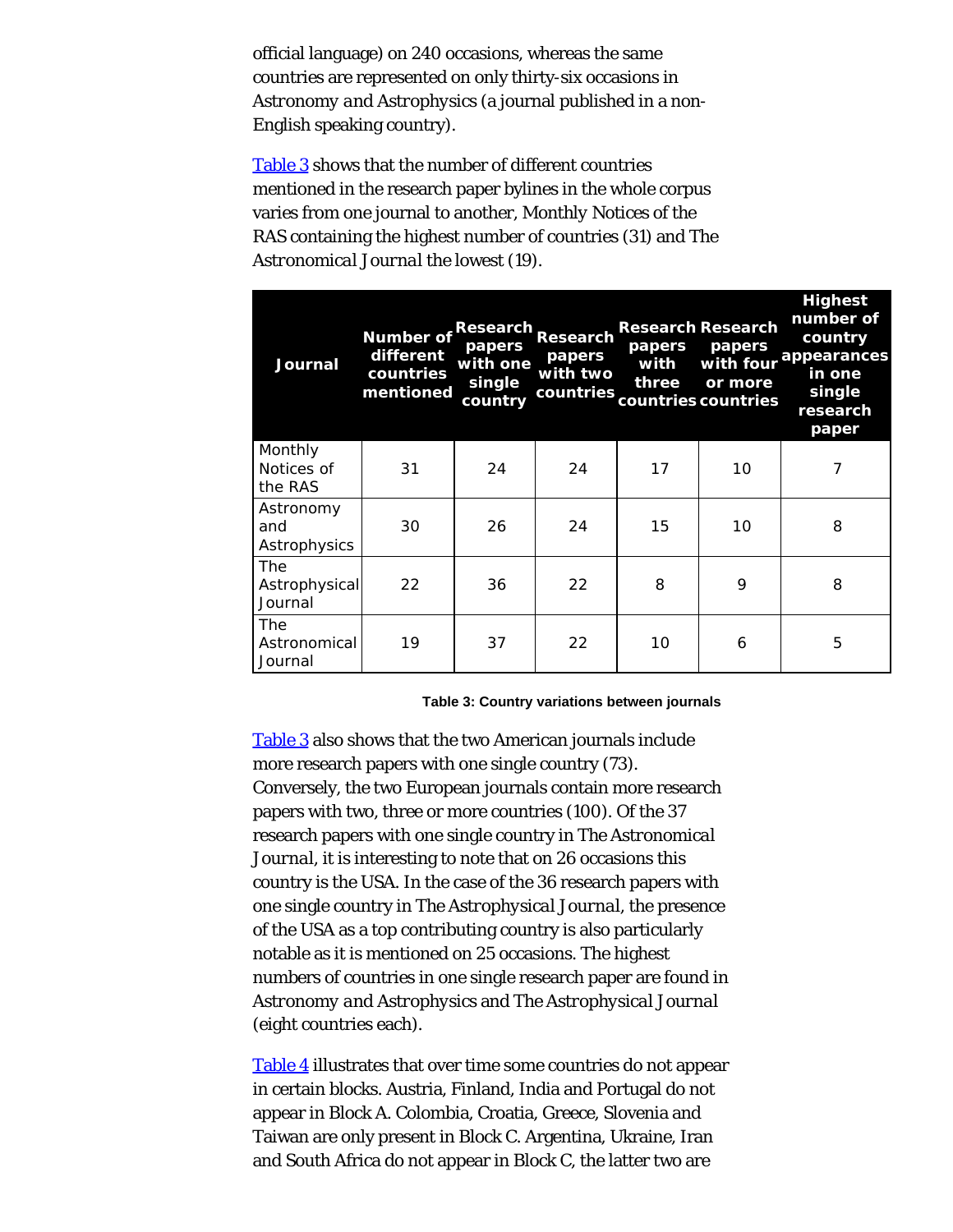official language) on 240 occasions, whereas the same countries are represented on only thirty-six occasions in *Astronomy and Astrophysics* (a journal published in a non-English speaking country).

[Table 3](#page-8-0) shows that the number of different countries mentioned in the research paper bylines in the whole corpus varies from one journal to another, *Monthly Notices of the RAS* containing the highest number of countries (31) and *The Astronomical Journal* the lowest (19).

<span id="page-8-0"></span>

| Journal                          | <b>Number of</b><br>different<br>countries<br>mentioned | papers<br>with one<br>single<br>country | Research Research<br>papers<br>with two | papers<br>with<br>three | <b>Research Research</b><br>papers<br>with four<br>or more<br>countries countries countries | <b>Highest</b><br>number of<br>country<br>appearances<br>in one<br>single<br>research<br>paper |
|----------------------------------|---------------------------------------------------------|-----------------------------------------|-----------------------------------------|-------------------------|---------------------------------------------------------------------------------------------|------------------------------------------------------------------------------------------------|
| Monthly<br>Notices of<br>the RAS | 31                                                      | 24                                      | 24                                      | 17                      | 10                                                                                          | 7                                                                                              |
| Astronomy<br>and<br>Astrophysics | 30                                                      | 26                                      | 24                                      | 15                      | 10                                                                                          | 8                                                                                              |
| The<br>Astrophysical<br>Journal  | 22                                                      | 36                                      | 22                                      | 8                       | 9                                                                                           | 8                                                                                              |
| The<br>Astronomical<br>Journal   | 19                                                      | 37                                      | 22                                      | 10                      | 6                                                                                           | 5                                                                                              |

**Table 3: Country variations between journals**

[Table 3](#page-8-0) also shows that the two American journals include more research papers with one single country (73). Conversely, the two European journals contain more research papers with two, three or more countries (100). Of the 37 research papers with one single country in *The Astronomical Journal*, it is interesting to note that on 26 occasions this country is the USA. In the case of the 36 research papers with one single country in *The Astrophysical Journal*, the presence of the USA as a top contributing country is also particularly notable as it is mentioned on 25 occasions. The highest numbers of countries in one single research paper are found in *Astronomy and Astrophysics* and *The Astrophysical Journal* (eight countries each).

[Table 4](#page-9-0) illustrates that over time some countries do not appear in certain blocks. Austria, Finland, India and Portugal do not appear in Block A. Colombia, Croatia, Greece, Slovenia and Taiwan are only present in Block C. Argentina, Ukraine, Iran and South Africa do not appear in Block C, the latter two are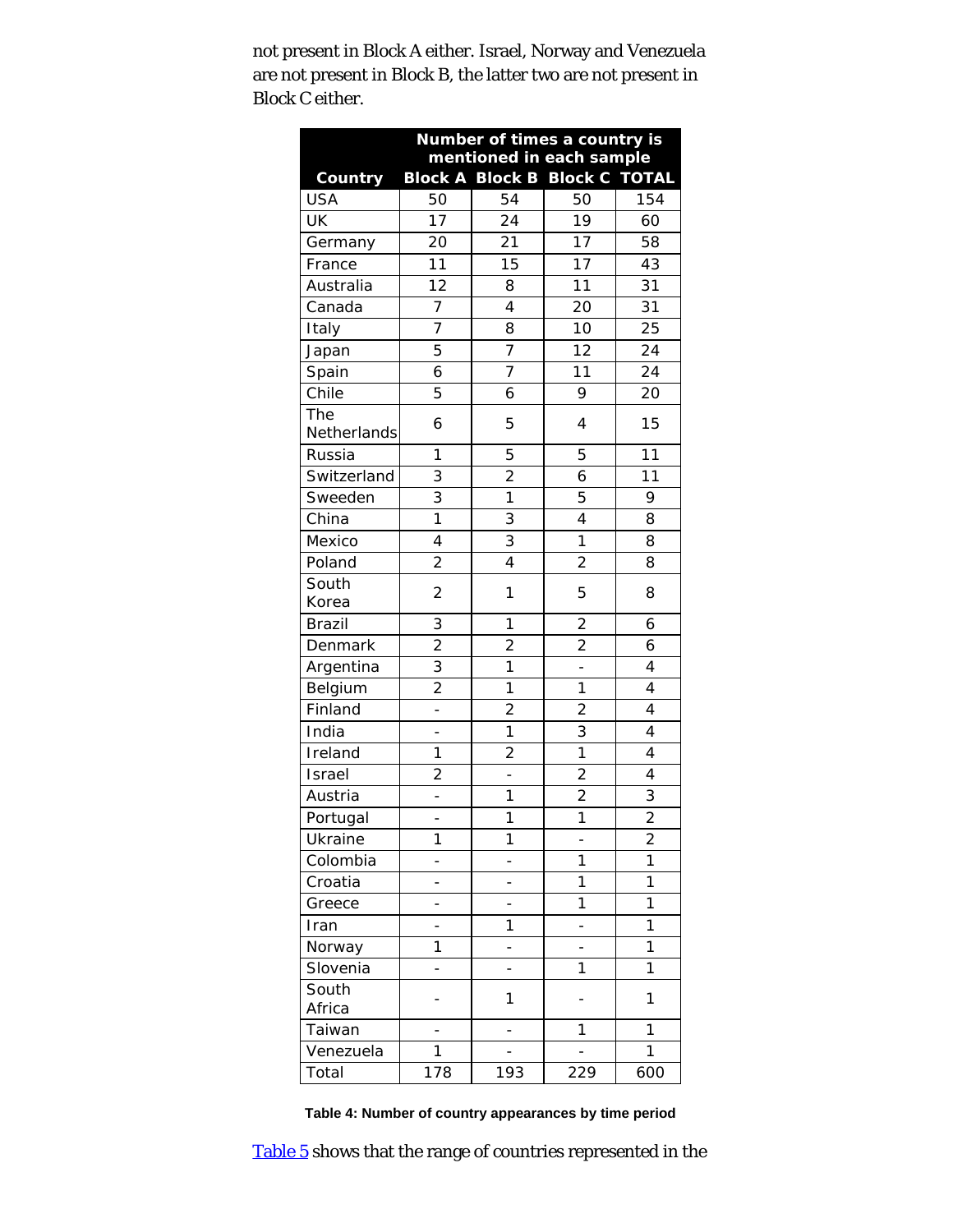<span id="page-9-0"></span>not present in Block A either. Israel, Norway and Venezuela are not present in Block B, the latter two are not present in Block C either.

| Number of times a country is |                          |                                      |                          |                          |  |  |  |
|------------------------------|--------------------------|--------------------------------------|--------------------------|--------------------------|--|--|--|
|                              |                          | mentioned in each sample             |                          |                          |  |  |  |
| <b>Country</b>               |                          | <b>Block A Block B Block C TOTAL</b> |                          |                          |  |  |  |
| <b>USA</b>                   | 50                       | 54                                   | 50                       | 154                      |  |  |  |
| UK                           | 17                       | 24                                   | 19                       | 60                       |  |  |  |
| Germany                      | 20                       | 21                                   | 17                       | 58                       |  |  |  |
| France                       | 11                       | 15                                   | 17                       | 43                       |  |  |  |
| Australia                    | 12                       | 8                                    | 11                       | 31                       |  |  |  |
| Canada                       | 7                        | $\overline{\mathbf{4}}$              | 20                       | 31                       |  |  |  |
| Italy                        | $\overline{7}$           | 8                                    | 10                       | $\overline{25}$          |  |  |  |
| Japan                        | 5                        | 7                                    | 12                       | 24                       |  |  |  |
| Spain                        | 6                        | $\overline{7}$                       | 11                       | 24                       |  |  |  |
| Chile                        | 5                        | 6                                    | 9                        | 20                       |  |  |  |
| The<br>Netherlands           | 6                        | 5                                    | 4                        | 15                       |  |  |  |
| Russia                       | 1                        | 5                                    | 5                        | 11                       |  |  |  |
| Switzerland                  | 3                        | $\overline{2}$                       | 6                        | 11                       |  |  |  |
| Sweeden                      | $\overline{3}$           | $\mathbf{1}$                         | 5                        | 9                        |  |  |  |
| China                        | 1                        | 3                                    | 4                        | 8                        |  |  |  |
| Mexico                       | 4                        | $\overline{3}$                       | $\overline{1}$           | 8                        |  |  |  |
| Poland                       | $\overline{c}$           | 4                                    | $\overline{c}$           | 8                        |  |  |  |
| South                        | $\overline{2}$           | 1                                    | 5                        | 8                        |  |  |  |
| Korea                        |                          |                                      |                          |                          |  |  |  |
| <b>Brazil</b>                | 3                        | 1                                    | $\overline{2}$           | 6                        |  |  |  |
| Denmark                      | $\overline{2}$           | $\overline{2}$                       | $\overline{2}$           | 6                        |  |  |  |
| Argentina                    | 3                        | 1                                    | $\overline{\phantom{a}}$ | $\overline{\mathcal{L}}$ |  |  |  |
| Belgium                      | $\overline{2}$           | $\mathbf{1}$                         | 1                        | $\overline{\mathcal{L}}$ |  |  |  |
| Finland                      |                          | $\overline{c}$                       | $\overline{c}$           | $\overline{4}$           |  |  |  |
| India                        | $\overline{\phantom{0}}$ | $\mathbf{1}$                         | 3                        | $\overline{4}$           |  |  |  |
| Ireland                      | 1                        | $\overline{2}$                       | 1                        | 4                        |  |  |  |
| Israel                       | $\overline{2}$           | $\overline{a}$                       | $\overline{2}$           | 4                        |  |  |  |
| Austria                      |                          | 1                                    | $\overline{c}$           | 3                        |  |  |  |
| Portugal                     | -                        | 1                                    | 1                        | $\overline{2}$           |  |  |  |
| Ukraine                      | 1                        | 1                                    | $\overline{a}$           | $\overline{2}$           |  |  |  |
| Colombia                     |                          |                                      | 1                        | 1                        |  |  |  |
| Croatia                      | -                        | -                                    | 1                        | 1                        |  |  |  |
| Greece                       |                          |                                      | 1                        | $\mathbf{1}$             |  |  |  |
| Iran                         |                          | 1                                    |                          | 1                        |  |  |  |
| Norway                       | 1                        | -                                    |                          | 1                        |  |  |  |
| Slovenia                     |                          |                                      | 1                        | 1                        |  |  |  |
| South                        |                          | 1                                    |                          | 1                        |  |  |  |
| Africa                       |                          |                                      |                          |                          |  |  |  |
| Taiwan                       |                          |                                      | 1                        | 1                        |  |  |  |
| Venezuela                    | 1                        | $\overline{\phantom{0}}$             |                          | 1                        |  |  |  |
| Total                        | 178                      | 193                                  | 229                      | 600                      |  |  |  |

**Table 4: Number of country appearances by time period**

[Table 5](#page-10-0) shows that the range of countries represented in the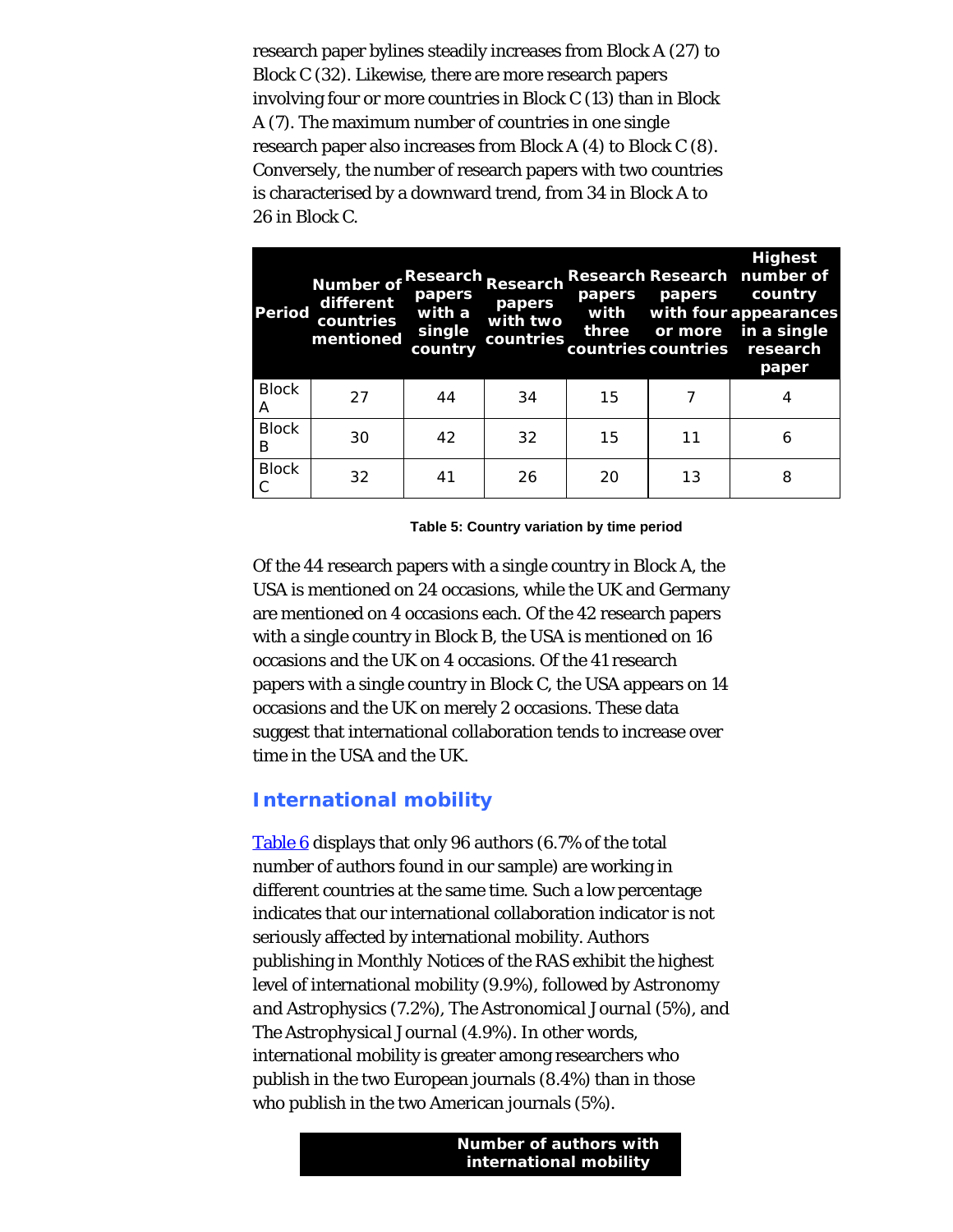research paper bylines steadily increases from Block A (27) to Block C (32). Likewise, there are more research papers involving four or more countries in Block C (13) than in Block A (7). The maximum number of countries in one single research paper also increases from Block A (4) to Block C (8). Conversely, the number of research papers with two countries is characterised by a downward trend, from 34 in Block A to 26 in Block C.

<span id="page-10-0"></span>

| <b>Period</b>     | Number of Research<br>different<br>countries<br>mentioned | papers<br>with a<br>single<br>country | Research<br>papers<br>with two<br>countries | papers<br>with | papers | <b>Highest</b><br>Research Research number of<br>country<br>with four appearances<br>three or more in a single<br>countries countries research<br>paper |
|-------------------|-----------------------------------------------------------|---------------------------------------|---------------------------------------------|----------------|--------|---------------------------------------------------------------------------------------------------------------------------------------------------------|
| <b>Block</b><br>А | 27                                                        | 44                                    | 34                                          | 15             |        |                                                                                                                                                         |
| <b>Block</b><br>B | 30                                                        | 42                                    | 32                                          | 15             | 11     | 6                                                                                                                                                       |
| <b>Block</b><br>С | 32                                                        | 41                                    | 26                                          | 20             | 13     | 8                                                                                                                                                       |

**Table 5: Country variation by time period**

Of the 44 research papers with a single country in Block A, the USA is mentioned on 24 occasions, while the UK and Germany are mentioned on 4 occasions each. Of the 42 research papers with a single country in Block B, the USA is mentioned on 16 occasions and the UK on 4 occasions. Of the 41 research papers with a single country in Block C, the USA appears on 14 occasions and the UK on merely 2 occasions. These data suggest that international collaboration tends to increase over time in the USA and the UK.

### **International mobility**

[Table 6](#page-11-0) displays that only 96 authors (6.7% of the total number of authors found in our sample) are working in different countries at the same time. Such a low percentage indicates that our international collaboration indicator is not seriously affected by international mobility. Authors publishing in *Monthly Notices of the RAS* exhibit the highest level of international mobility (9.9%), followed by *Astronomy and Astrophysics* (7.2%), *The Astronomical Journal* (5%), and *The Astrophysical Journal* (4.9%). In other words, international mobility is greater among researchers who publish in the two European journals (8.4%) than in those who publish in the two American journals (5%).

> **Number of authors with international mobility**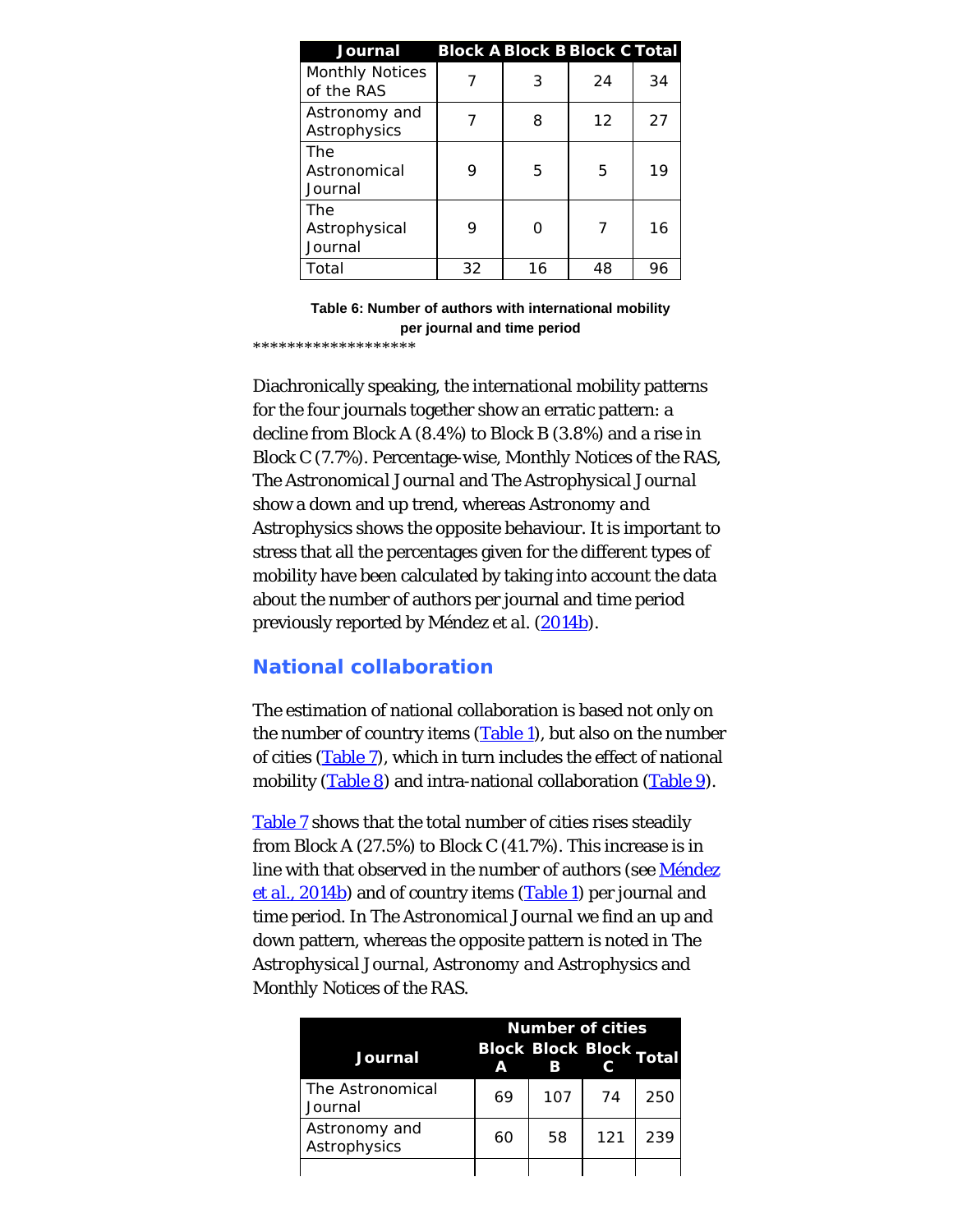<span id="page-11-0"></span>

| Journal                              | <b>Block A Block B Block C Total</b> |    |    |    |
|--------------------------------------|--------------------------------------|----|----|----|
| <b>Monthly Notices</b><br>of the RAS |                                      | 3  | 24 | 34 |
| Astronomy and<br>Astrophysics        |                                      | 8  | 12 | 27 |
| The<br>Astronomical<br>Journal       | 9                                    | 5  | 5  | 19 |
| The<br>Astrophysical<br>Journal      | 9                                    |    |    | 16 |
| Total                                | 32                                   | 16 | 48 | 96 |

**Table 6: Number of authors with international mobility per journal and time period**

\*\*\*\*\*\*\*\*\*\*\*\*\*\*\*\*\*\*\*

Diachronically speaking, the international mobility patterns for the four journals together show an erratic pattern: a decline from Block A (8.4%) to Block B (3.8%) and a rise in Block C (7.7%). Percentage-wise, *Monthly Notices of the RAS*, *The Astronomical Journal* and *The Astrophysical Journal* show a down and up trend, whereas *Astronomy and Astrophysics* shows the opposite behaviour. It is important to stress that all the percentages given for the different types of mobility have been calculated by taking into account the data about the number of authors per journal and time period previously reported by Méndez *et al.* [\(2014b](#page-27-0)).

### **National collaboration**

The estimation of national collaboration is based not only on the number of country items [\(Table 1](#page-5-0)), but also on the number of cities ([Table 7](#page-12-0)), which in turn includes the effect of national mobility [\(Table 8](#page-13-0)) and intra-national collaboration [\(Table 9](#page-13-1)).

[Table 7](#page-12-0) shows that the total number of cities rises steadily from Block A (27.5%) to Block C (41.7%). This increase is in line with that observed in the number of authors (see [Méndez](#page-27-0) *[et al.](#page-27-0)*[, 2014b](#page-27-0)) and of country items ([Table 1](#page-5-0)) per journal and time period. In *The Astronomical Journal* we find an up and down pattern, whereas the opposite pattern is noted in *The Astrophysical Journal*, *Astronomy and Astrophysics* and *Monthly Notices of the RAS*.

| Journal                       | <b>Block Block Block Total</b><br>Δ | <b>Number of cities</b><br>B |     |     |
|-------------------------------|-------------------------------------|------------------------------|-----|-----|
| The Astronomical<br>Journal   | 69                                  | 107                          | 74  | 250 |
| Astronomy and<br>Astrophysics | 60                                  | 58                           | 121 | 239 |
|                               |                                     |                              |     |     |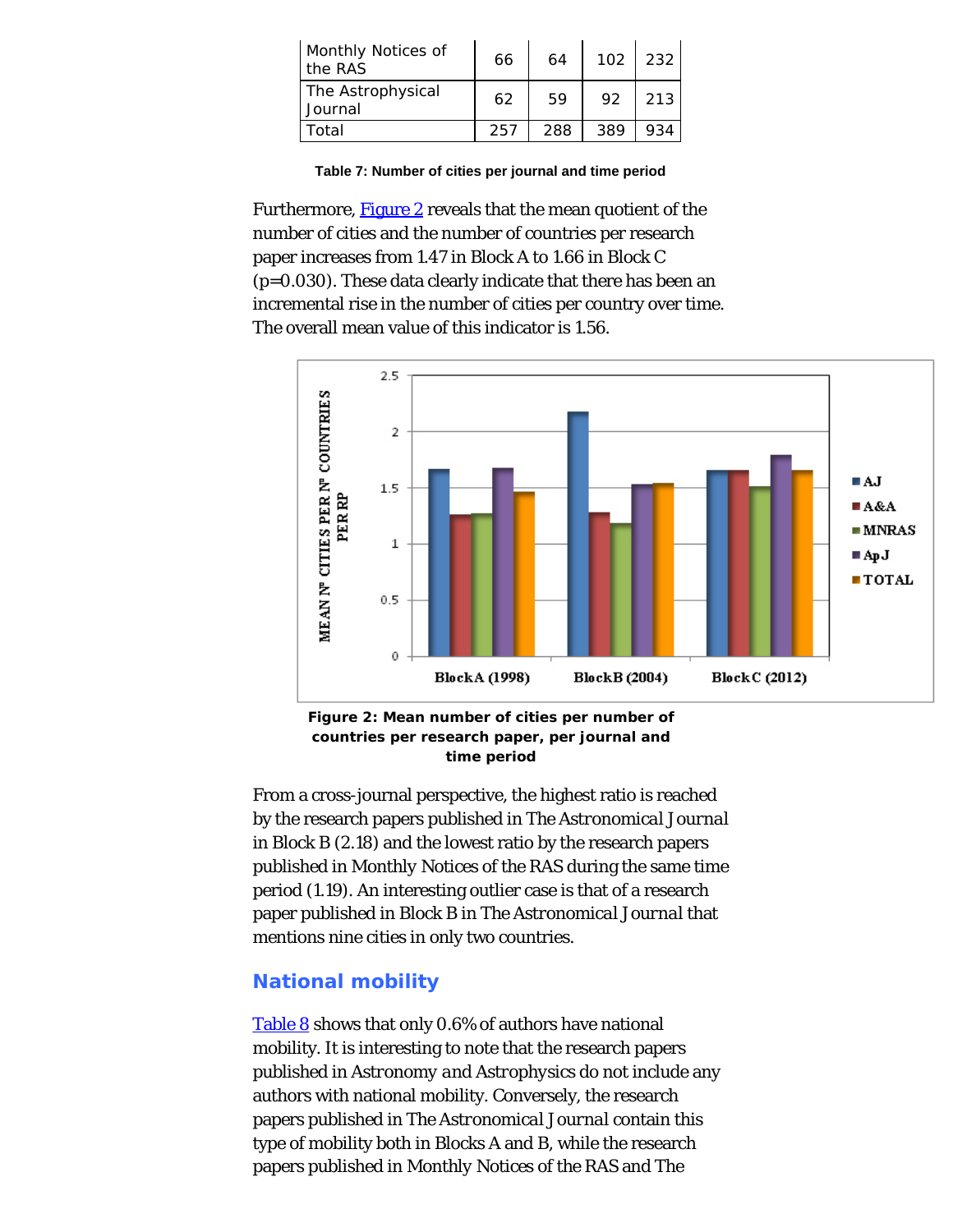<span id="page-12-0"></span>

| <b>Monthly Notices of</b><br>the RAS | 66  | 64  | 102 | 232 |
|--------------------------------------|-----|-----|-----|-----|
| The Astrophysical<br>Journal         | 62  | 59  | 92  | 213 |
| Total                                | 257 | 288 | 389 | 934 |

**Table 7: Number of cities per journal and time period**

Furthermore, [Figure 2](#page-12-1) reveals that the mean quotient of the number of cities and the number of countries per research paper increases from 1.47 in Block A to 1.66 in Block C (p=0.030). These data clearly indicate that there has been an incremental rise in the number of cities per country over time. The overall mean value of this indicator is 1.56.

<span id="page-12-1"></span>

**Figure 2: Mean number of cities per number of countries per research paper, per journal and time period**

From a cross-journal perspective, the highest ratio is reached by the research papers published in *The Astronomical Journal* in Block B (2.18) and the lowest ratio by the research papers published in *Monthly Notices of the RAS* during the same time period (1.19). An interesting outlier case is that of a research paper published in Block B in *The Astronomical Journal* that mentions nine cities in only two countries.

### **National mobility**

[Table 8](#page-13-0) shows that only 0.6% of authors have national mobility. It is interesting to note that the research papers published in *Astronomy and Astrophysics* do not include any authors with national mobility. Conversely, the research papers published in *The Astronomical Journal* contain this type of mobility both in Blocks A and B, while the research papers published in *Monthly Notices of the RAS* and *The*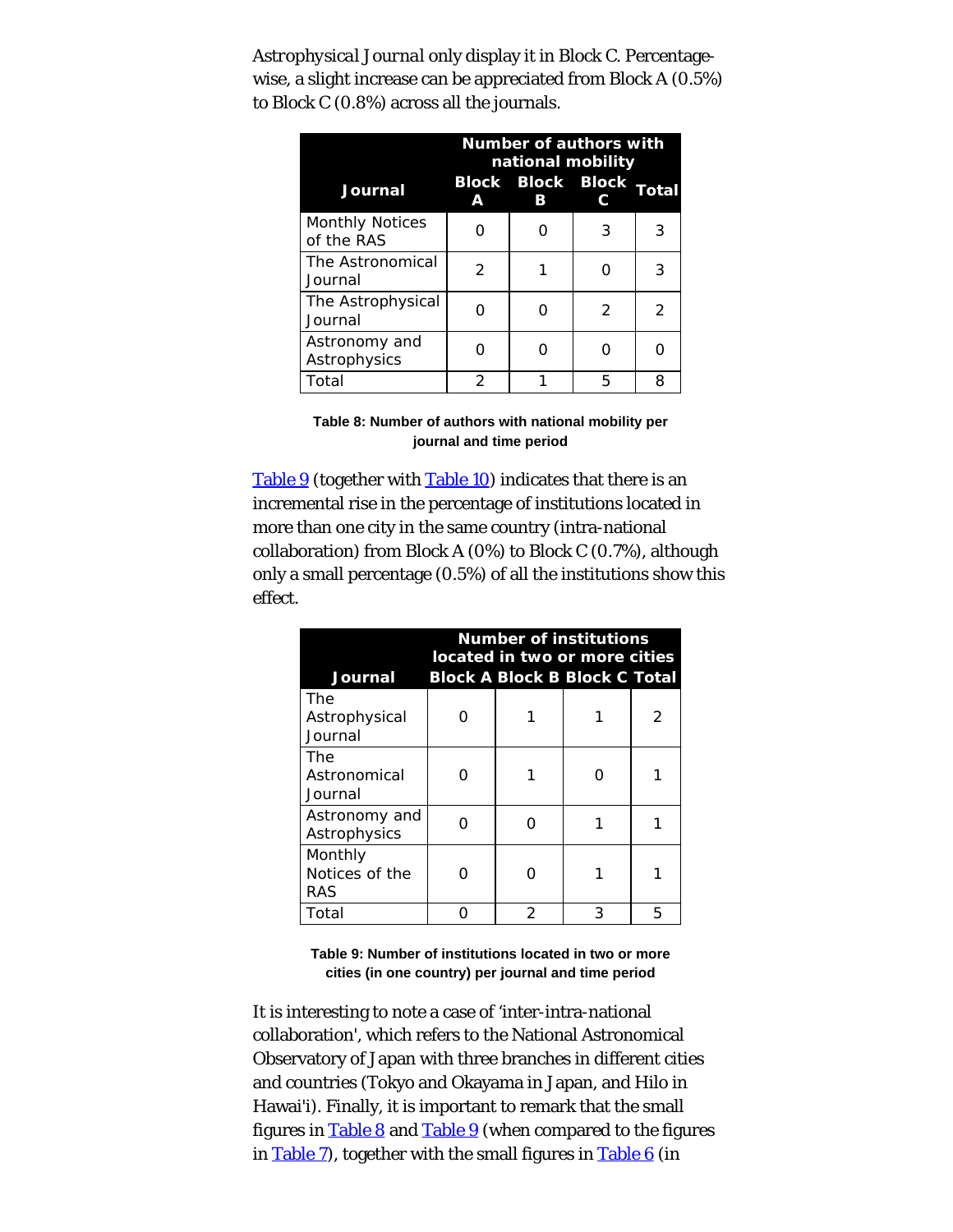<span id="page-13-0"></span>*Astrophysical Journal* only display it in Block C. Percentagewise, a slight increase can be appreciated from Block A (0.5%) to Block C (0.8%) across all the journals.

|                                      | <b>Number of authors with</b><br>national mobility |                               |               |                |  |
|--------------------------------------|----------------------------------------------------|-------------------------------|---------------|----------------|--|
| <b>Journal</b>                       | A                                                  | <b>Block Block Block</b><br>R |               | Total          |  |
| <b>Monthly Notices</b><br>of the RAS |                                                    |                               | 3             | 3              |  |
| The Astronomical<br>Journal          | $\mathcal{P}$                                      |                               |               | 3              |  |
| The Astrophysical<br>Journal         |                                                    |                               | $\mathcal{P}$ | $\mathfrak{D}$ |  |
| Astronomy and<br>Astrophysics        |                                                    |                               |               |                |  |
| Total                                | $\mathcal{P}$                                      |                               | ҕ             | 8              |  |

**Table 8: Number of authors with national mobility per journal and time period**

<span id="page-13-1"></span>[Table 9](#page-13-1) (together with [Table 10](#page-14-0)) indicates that there is an incremental rise in the percentage of institutions located in more than one city in the same country (intra-national collaboration) from Block A (0%) to Block C (0.7%), although only a small percentage (0.5%) of all the institutions show this effect.

| Journal                          | <b>Number of institutions</b><br>located in two or more cities<br><b>Block A Block B Block C Total</b> |   |   |   |  |  |
|----------------------------------|--------------------------------------------------------------------------------------------------------|---|---|---|--|--|
| The<br>Astrophysical<br>Journal  |                                                                                                        |   |   |   |  |  |
| The<br>Astronomical<br>Journal   | ∩                                                                                                      |   |   |   |  |  |
| Astronomy and<br>Astrophysics    | ∩                                                                                                      |   |   |   |  |  |
| Monthly<br>Notices of the<br>RAS | O                                                                                                      |   |   |   |  |  |
| Total                            |                                                                                                        | 2 | 3 | 5 |  |  |

**Table 9: Number of institutions located in two or more cities (in one country) per journal and time period**

It is interesting to note a case of 'inter-intra-national collaboration', which refers to the National Astronomical Observatory of Japan with three branches in different cities and countries (Tokyo and Okayama in Japan, and Hilo in Hawai'i). Finally, it is important to remark that the small figures in [Table 8](#page-13-0) and [Table 9](#page-13-1) (when compared to the figures in [Table 7](#page-12-0)), together with the small figures in [Table 6](#page-11-0) (in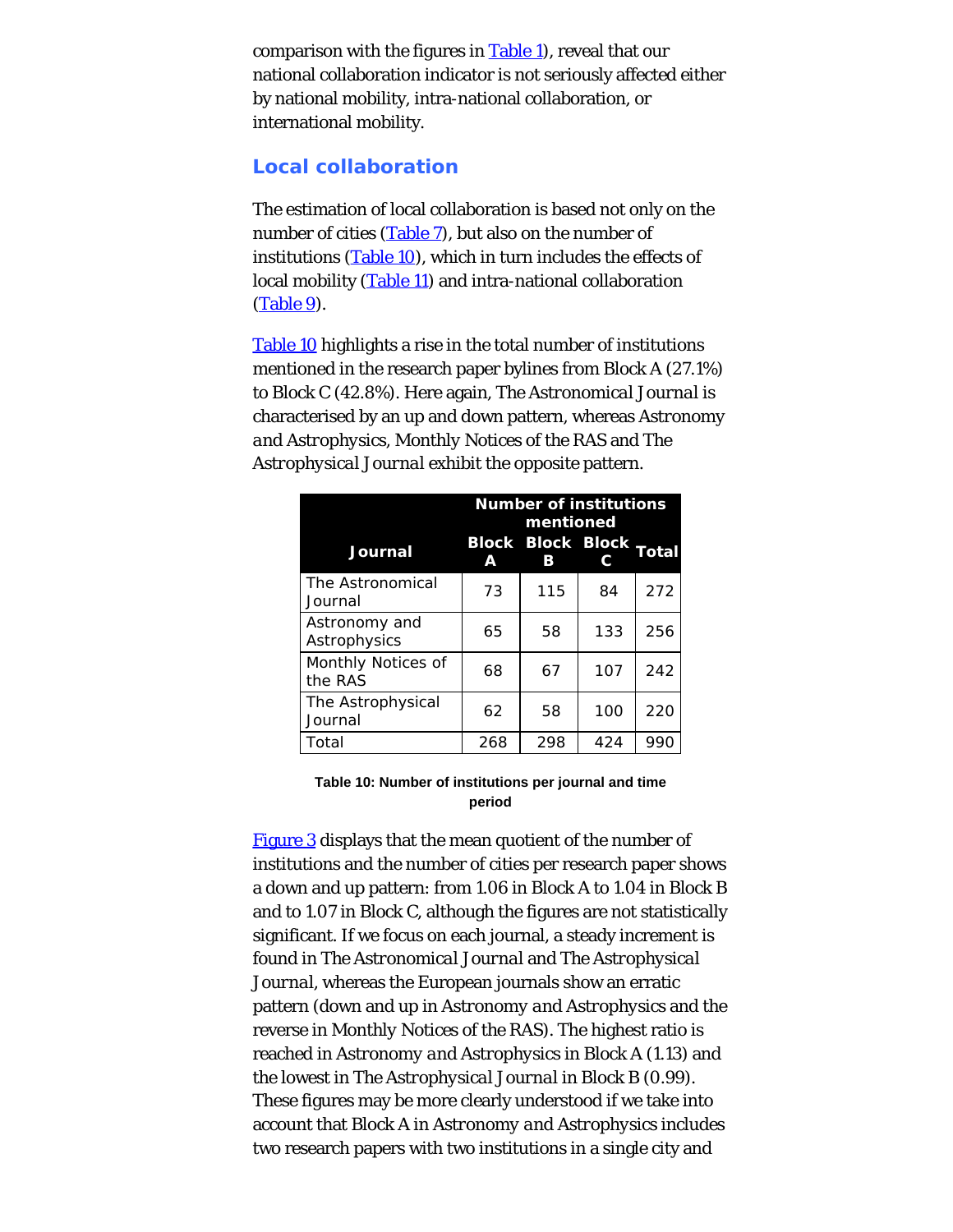comparison with the figures in  $Table 1$ , reveal that our national collaboration indicator is not seriously affected either by national mobility, intra-national collaboration, or international mobility.

## **Local collaboration**

The estimation of local collaboration is based not only on the number of cities [\(Table 7](#page-12-0)), but also on the number of institutions [\(Table 10](#page-14-0)), which in turn includes the effects of local mobility [\(Table 11](#page-16-0)) and intra-national collaboration [\(Table 9](#page-13-1)).

<span id="page-14-0"></span>[Table 10](#page-14-0) highlights a rise in the total number of institutions mentioned in the research paper bylines from Block A (27.1%) to Block C (42.8%). Here again, *The Astronomical Journal* is characterised by an up and down pattern, whereas *Astronomy and Astrophysics*, *Monthly Notices of the RAS* and *The Astrophysical Journal* exhibit the opposite pattern.

|                               | <b>Number of institutions</b><br>mentioned |                               |     |       |  |
|-------------------------------|--------------------------------------------|-------------------------------|-----|-------|--|
| <b>Journal</b>                | А                                          | <b>Block Block Block</b><br>в |     | Total |  |
| The Astronomical<br>Journal   | 73                                         | 115                           | 84  | 272   |  |
| Astronomy and<br>Astrophysics | 65                                         | 58                            | 133 | 256   |  |
| Monthly Notices of<br>the RAS | 68                                         | 67                            | 107 | 242   |  |
| The Astrophysical<br>Journal  | 62                                         | 58                            | 100 | 220   |  |
| Total                         | 268                                        | 298                           | 424 | 990   |  |

#### **Table 10: Number of institutions per journal and time period**

[Figure 3](#page-15-0) displays that the mean quotient of the number of institutions and the number of cities per research paper shows a down and up pattern: from 1.06 in Block A to 1.04 in Block B and to 1.07 in Block C, although the figures are not statistically significant. If we focus on each journal, a steady increment is found in *The Astronomical Journal* and *The Astrophysical Journal*, whereas the European journals show an erratic pattern (down and up in *Astronomy and Astrophysics* and the reverse in *Monthly Notices of the RAS*). The highest ratio is reached in *Astronomy and Astrophysics* in Block A (1.13) and the lowest in *The Astrophysical Journal* in Block B (0.99). These figures may be more clearly understood if we take into account that Block A in *Astronomy and Astrophysics* includes two research papers with two institutions in a single city and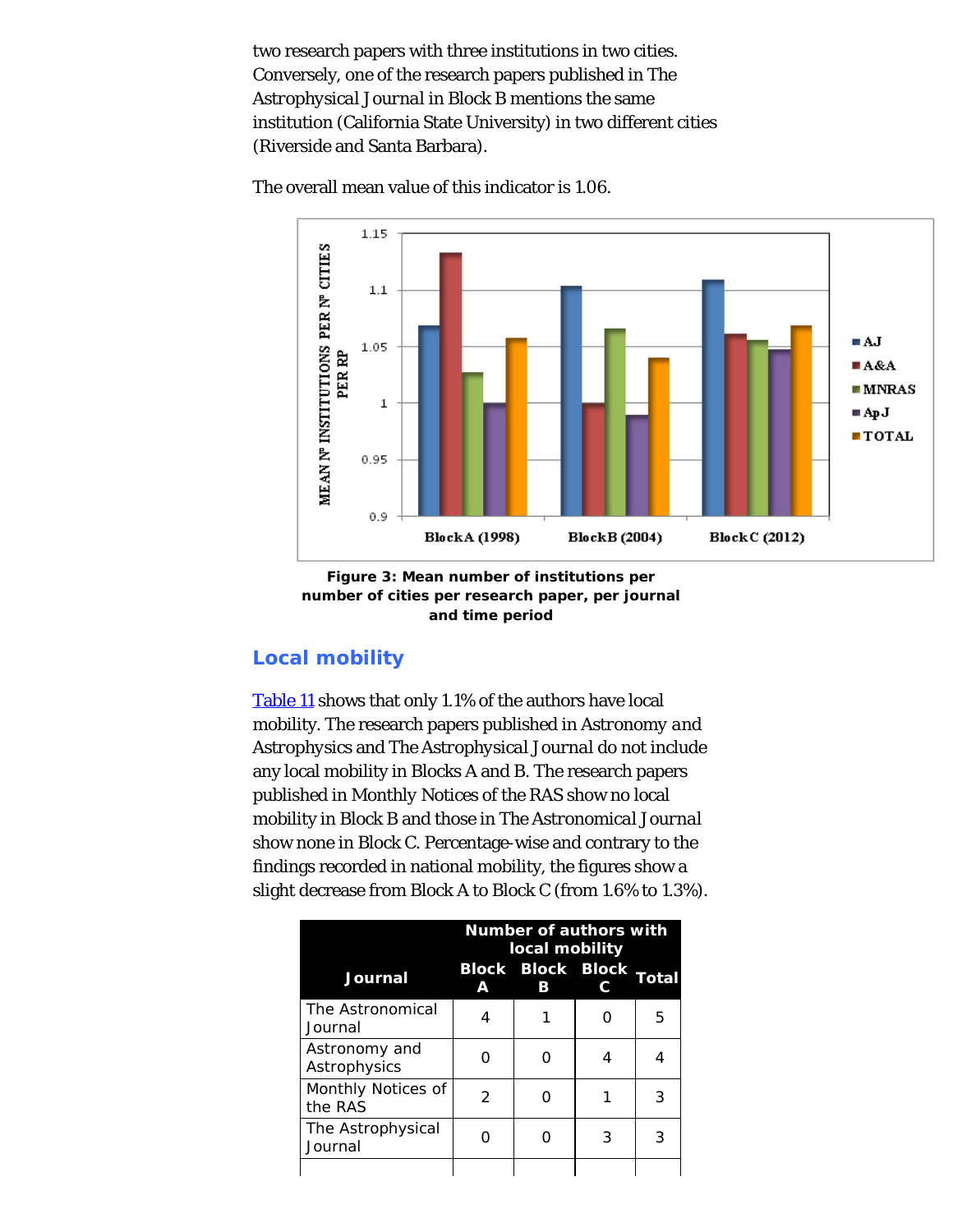two research papers with three institutions in two cities. Conversely, one of the research papers published in *The Astrophysical Journal* in Block B mentions the same institution (California State University) in two different cities (Riverside and Santa Barbara).



<span id="page-15-0"></span>The overall mean value of this indicator is 1.06.



# **Local mobility**

[Table 11](#page-16-0) shows that only 1.1% of the authors have local mobility. The research papers published in *Astronomy and Astrophysics* and *The Astrophysical Journal* do not include any local mobility in Blocks A and B. The research papers published in *Monthly Notices of the RAS* show no local mobility in Block B and those in *The Astronomical Journal* show none in Block C. Percentage-wise and contrary to the findings recorded in national mobility, the figures show a slight decrease from Block A to Block C (from 1.6% to 1.3%).

|                               | <b>Number of authors with</b><br>local mobility |                               |   |       |
|-------------------------------|-------------------------------------------------|-------------------------------|---|-------|
| Journal                       | А                                               | <b>Block Block Block</b><br>в |   | Total |
| The Astronomical<br>Journal   | 4                                               |                               |   | 5     |
| Astronomy and<br>Astrophysics |                                                 |                               | 4 |       |
| Monthly Notices of<br>the RAS | $\mathcal{P}$                                   |                               |   | 3     |
| The Astrophysical<br>Journal  |                                                 |                               | 3 | 3     |
|                               |                                                 |                               |   |       |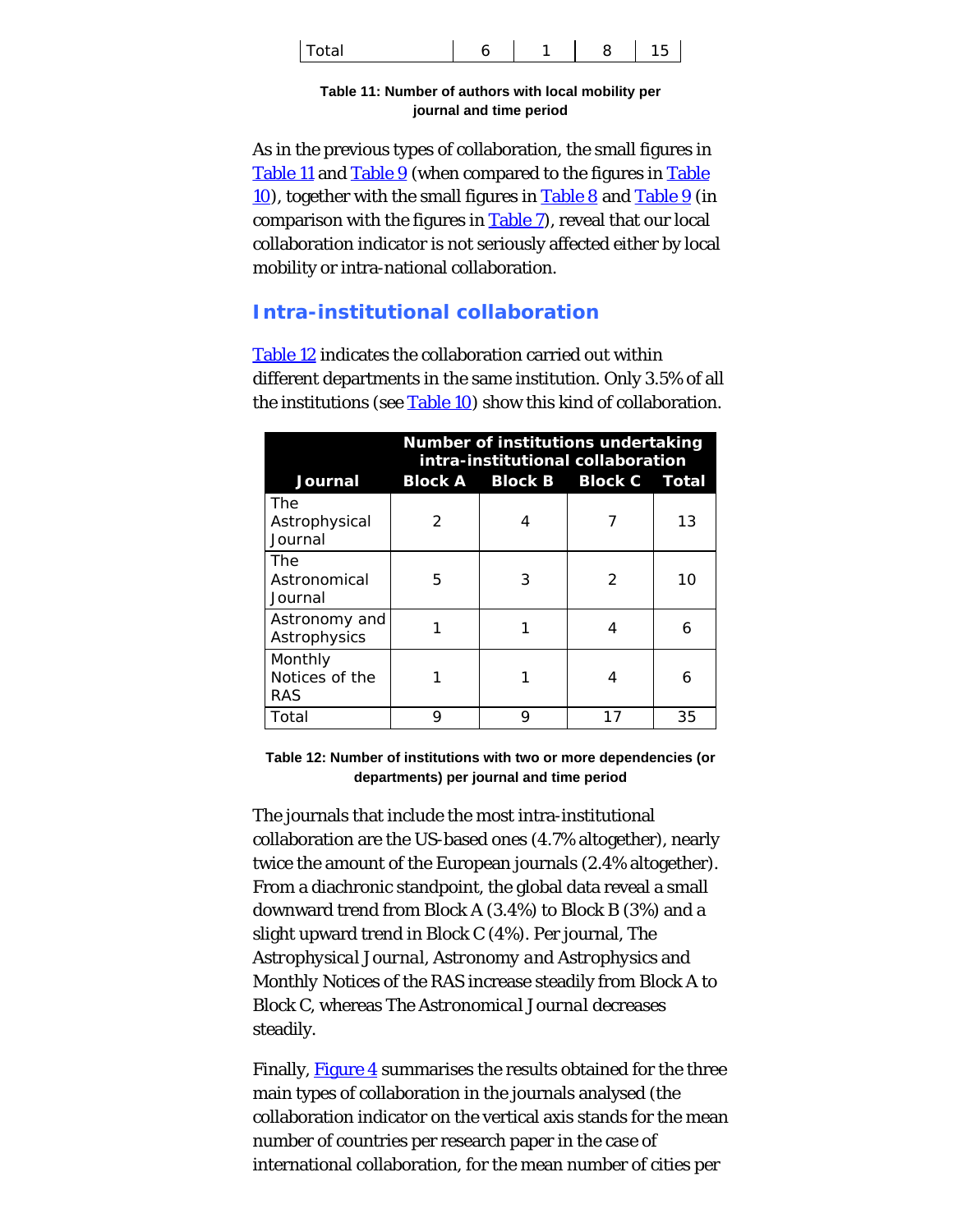<span id="page-16-0"></span>

| ד ו<br>otal <sup>.</sup> | ∼ |  | ີ |  |
|--------------------------|---|--|---|--|
|--------------------------|---|--|---|--|

**Table 11: Number of authors with local mobility per journal and time period**

As in the previous types of collaboration, the small figures in [Table 11](#page-16-0) and [Table 9](#page-13-1) (when compared to the figures in [Table](#page-14-0) [10](#page-14-0)), together with the small figures in [Table 8](#page-13-0) and [Table 9](#page-13-1) (in comparison with the figures in [Table 7](#page-12-0)), reveal that our local collaboration indicator is not seriously affected either by local mobility or intra-national collaboration.

# **Intra-institutional collaboration**

[Table 12](#page-16-1) indicates the collaboration carried out within different departments in the same institution. Only 3.5% of all the institutions (see [Table 10](#page-14-0)) show this kind of collaboration.

<span id="page-16-1"></span>

|                                         | Number of institutions undertaking<br>intra-institutional collaboration |                               |               |    |
|-----------------------------------------|-------------------------------------------------------------------------|-------------------------------|---------------|----|
| Journal                                 |                                                                         | Block A Block B Block C Total |               |    |
| The<br>Astrophysical<br>Journal         | $\mathcal{P}$                                                           |                               |               | 13 |
| The<br>Astronomical<br>Journal          | 5                                                                       | 3                             | $\mathcal{P}$ | 10 |
| Astronomy and<br>Astrophysics           |                                                                         |                               | 4             | 6  |
| Monthly<br>Notices of the<br><b>RAS</b> |                                                                         |                               | 4             | 6  |
| Total                                   | 9                                                                       | 9                             | 17            | 35 |

**Table 12: Number of institutions with two or more dependencies (or departments) per journal and time period**

The journals that include the most intra-institutional collaboration are the US-based ones (4.7% altogether), nearly twice the amount of the European journals (2.4% altogether). From a diachronic standpoint, the global data reveal a small downward trend from Block A (3.4%) to Block B (3%) and a slight upward trend in Block C (4%). Per journal, *The Astrophysical Journal*, *Astronomy and Astrophysics* and *Monthly Notices of the RAS* increase steadily from Block A to Block C, whereas *The Astronomical Journal* decreases steadily.

Finally, [Figure 4](#page-17-0) summarises the results obtained for the three main types of collaboration in the journals analysed (the collaboration indicator on the vertical axis stands for the mean number of countries per research paper in the case of international collaboration, for the mean number of cities per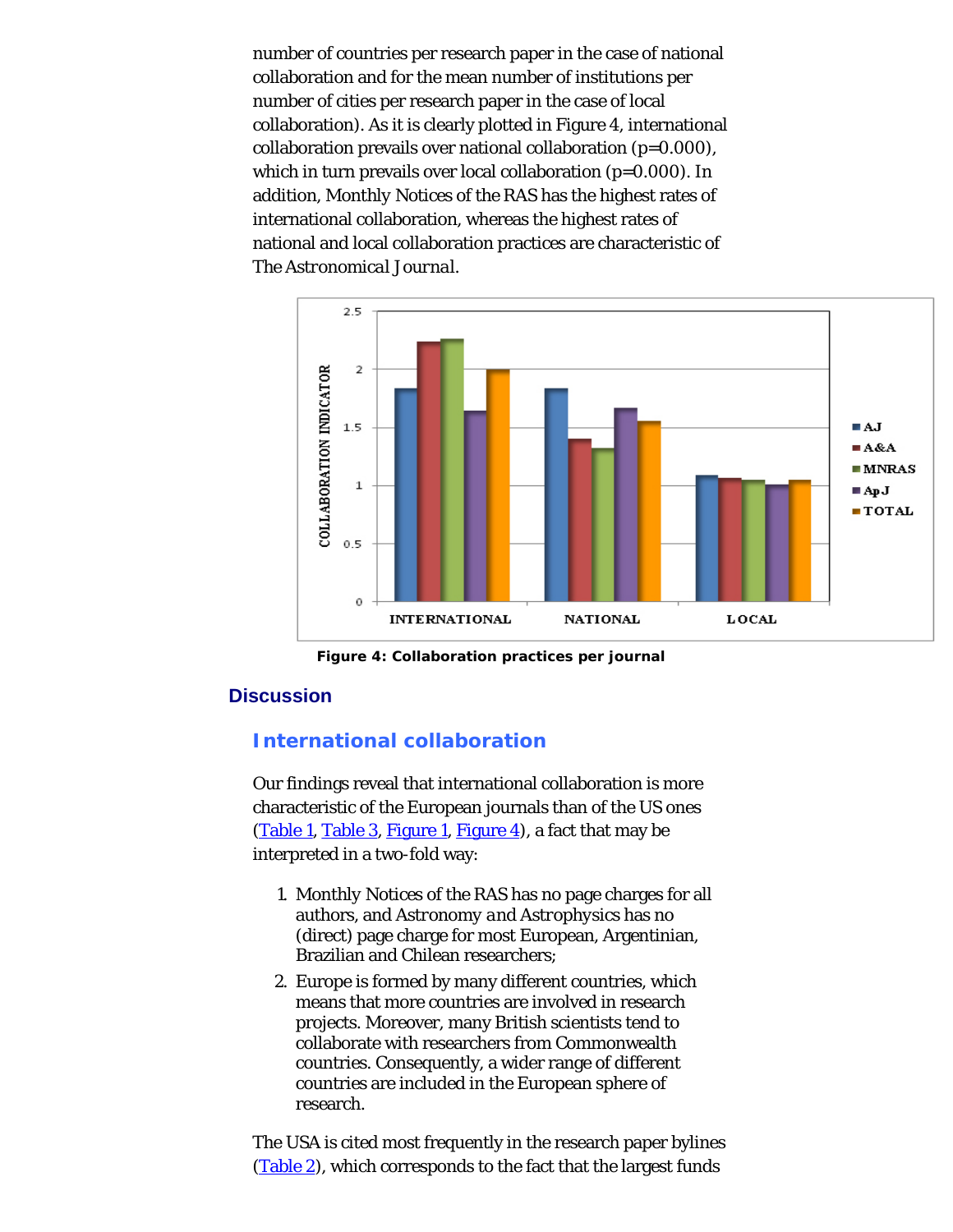number of countries per research paper in the case of national collaboration and for the mean number of institutions per number of cities per research paper in the case of local collaboration). As it is clearly plotted in Figure 4, international collaboration prevails over national collaboration (p=0.000), which in turn prevails over local collaboration (p=0.000). In addition, *Monthly Notices of the RAS* has the highest rates of international collaboration, whereas the highest rates of national and local collaboration practices are characteristic of *The Astronomical Journal*.

<span id="page-17-0"></span>

**Figure 4: Collaboration practices per journal**

### **Discussion**

# **International collaboration**

Our findings reveal that international collaboration is more characteristic of the European journals than of the US ones [\(Table 1](#page-5-0), [Table 3](#page-8-0), [Figure 1](#page-6-0), [Figure 4](#page-17-0)), a fact that may be interpreted in a two-fold way:

- 1. *Monthly Notices of the RAS* has no page charges for all authors, and *Astronomy and Astrophysics* has no (direct) page charge for most European, Argentinian, Brazilian and Chilean researchers;
- 2. Europe is formed by many different countries, which means that more countries are involved in research projects. Moreover, many British scientists tend to collaborate with researchers from Commonwealth countries. Consequently, a wider range of different countries are included in the European sphere of research.

The USA is cited most frequently in the research paper bylines [\(Table 2](#page-7-0)), which corresponds to the fact that the largest funds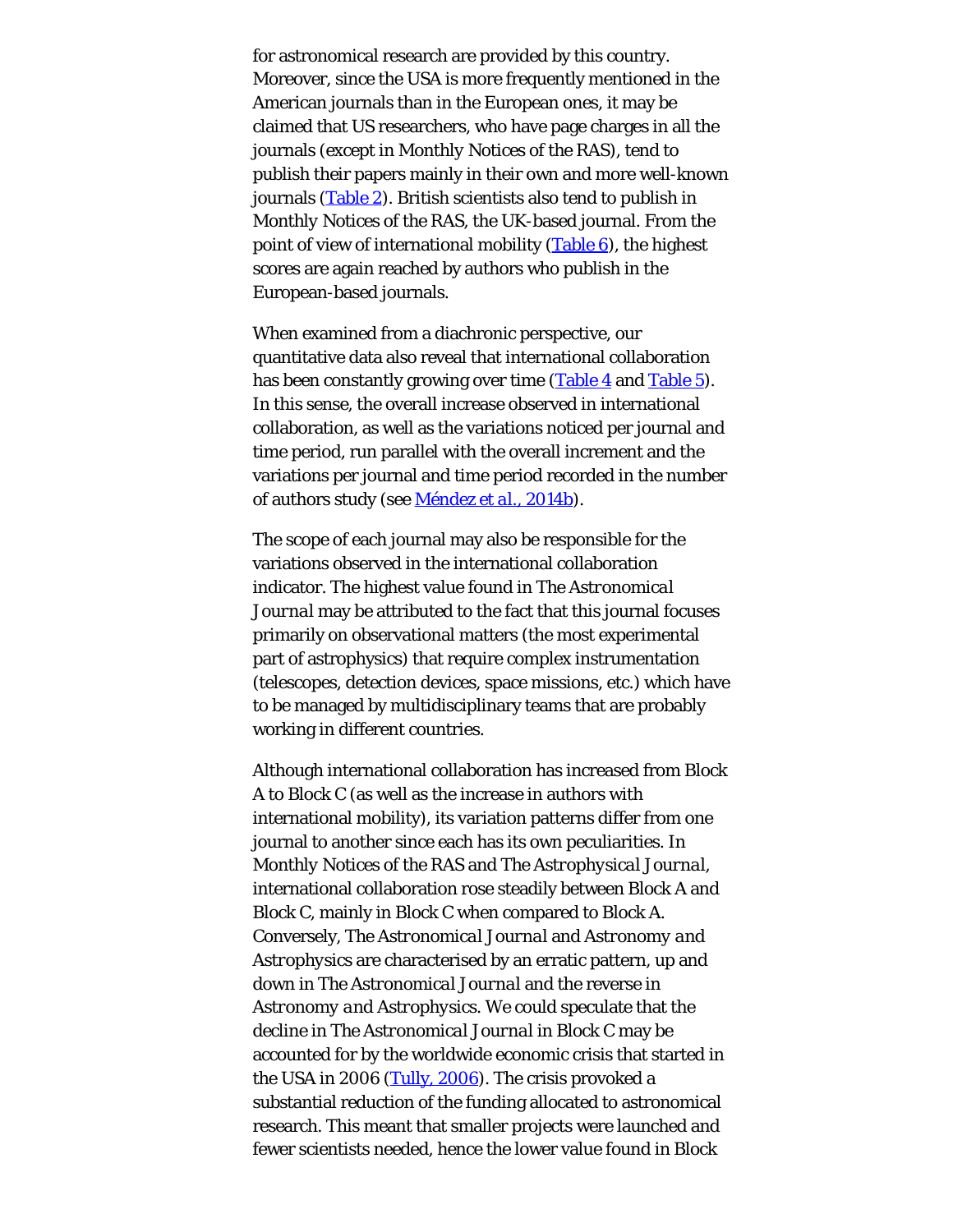for astronomical research are provided by this country. Moreover, since the USA is more frequently mentioned in the American journals than in the European ones, it may be claimed that US researchers, who have page charges in all the journals (except in *Monthly Notices of the RAS*), tend to publish their papers mainly in their own and more well-known journals [\(Table 2](#page-7-0)). British scientists also tend to publish in *Monthly Notices of the RAS*, the UK-based journal. From the point of view of international mobility  $(Table 6)$  $(Table 6)$ , the highest scores are again reached by authors who publish in the European-based journals.

When examined from a diachronic perspective, our quantitative data also reveal that international collaboration has been constantly growing over time [\(Table 4](#page-9-0) and [Table 5](#page-10-0)). In this sense, the overall increase observed in international collaboration, as well as the variations noticed per journal and time period, run parallel with the overall increment and the variations per journal and time period recorded in the number of authors study (see [Méndez](#page-27-0) *[et al.](#page-27-0)*[, 2014b](#page-27-0)).

The scope of each journal may also be responsible for the variations observed in the international collaboration indicator. The highest value found in *The Astronomical Journal* may be attributed to the fact that this journal focuses primarily on observational matters (the most experimental part of astrophysics) that require complex instrumentation (telescopes, detection devices, space missions, etc.) which have to be managed by multidisciplinary teams that are probably working in different countries.

Although international collaboration has increased from Block A to Block C (as well as the increase in authors with international mobility), its variation patterns differ from one journal to another since each has its own peculiarities. In *Monthly Notices of the RAS* and *The Astrophysical Journal*, international collaboration rose steadily between Block A and Block C, mainly in Block C when compared to Block A. Conversely, *The Astronomical Journal* and *Astronomy and Astrophysics* are characterised by an erratic pattern, up and down in *The Astronomical Journal* and the reverse in *Astronomy and Astrophysics*. We could speculate that the decline in *The Astronomical Journal* in Block C may be accounted for by the worldwide economic crisis that started in the USA in 2006 [\(Tully, 2006](#page-27-7)). The crisis provoked a substantial reduction of the funding allocated to astronomical research. This meant that smaller projects were launched and fewer scientists needed, hence the lower value found in Block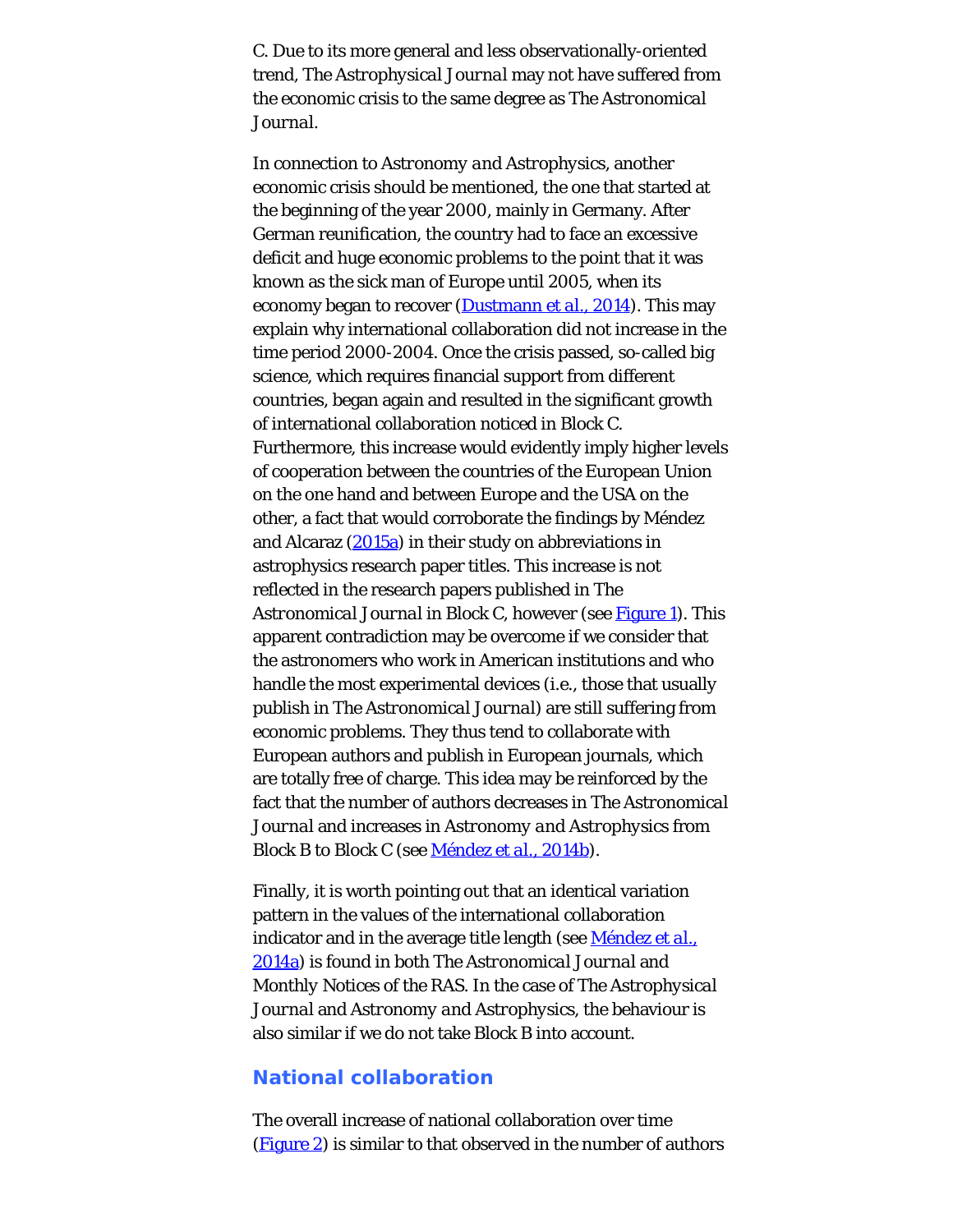C. Due to its more general and less observationally-oriented trend, *The Astrophysical Journal* may not have suffered from the economic crisis to the same degree as *The Astronomical Journal*.

In connection to *Astronomy and Astrophysics*, another economic crisis should be mentioned, the one that started at the beginning of the year 2000, mainly in Germany. After German reunification, the country had to face an excessive deficit and huge economic problems to the point that it was known as the sick man of Europe until 2005, when its economy began to recover ([Dustmann](#page-27-0) *[et al.](#page-27-0)*[, 2014](#page-27-0)). This may explain why international collaboration did not increase in the time period 2000-2004. Once the crisis passed, so-called big science, which requires financial support from different countries, began again and resulted in the significant growth of international collaboration noticed in Block C. Furthermore, this increase would evidently imply higher levels of cooperation between the countries of the European Union on the one hand and between Europe and the USA on the other, a fact that would corroborate the findings by Méndez and Alcaraz  $(2015a)$  $(2015a)$  in their study on abbreviations in astrophysics research paper titles. This increase is not reflected in the research papers published in *The Astronomical Journal* in Block C, however (see [Figure 1](#page-6-0)). This apparent contradiction may be overcome if we consider that the astronomers who work in American institutions and who handle the most experimental devices (i.e., those that usually publish in *The Astronomical Journal*) are still suffering from economic problems. They thus tend to collaborate with European authors and publish in European journals, which are totally free of charge. This idea may be reinforced by the fact that the number of authors decreases in *The Astronomical Journal* and increases in *Astronomy and Astrophysics* from Block B to Block C (see [Méndez](#page-27-0) *[et al.](#page-27-0)*[, 2014b](#page-27-0)).

Finally, it is worth pointing out that an identical variation pattern in the values of the international collaboration indicator and in the average title length (see [Méndez](#page-27-0) *[et al.](#page-27-0)*[,](#page-27-0) [2014a](#page-27-0)) is found in both *The Astronomical Journal* and *Monthly Notices of the RAS*. In the case of *The Astrophysical Journal* and *Astronomy and Astrophysics*, the behaviour is also similar if we do not take Block B into account.

### **National collaboration**

The overall increase of national collaboration over time [\(Figure 2](#page-12-1)) is similar to that observed in the number of authors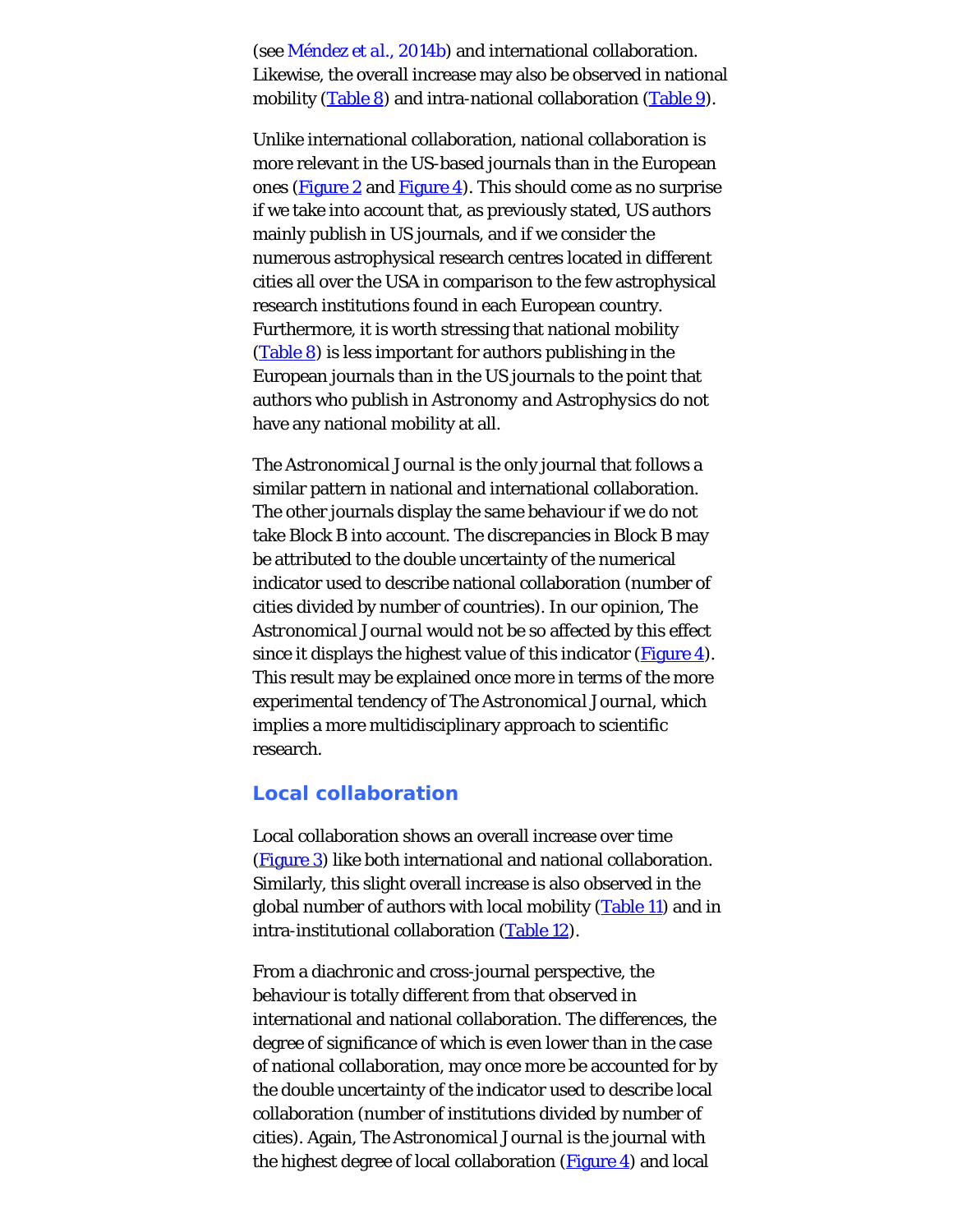(see [Méndez](#page-27-0) *[et al.](#page-27-0)*[, 2014b](#page-27-0)) and international collaboration. Likewise, the overall increase may also be observed in national mobility [\(Table 8](#page-13-0)) and intra-national collaboration [\(Table 9](#page-13-1)).

Unlike international collaboration, national collaboration is more relevant in the US-based journals than in the European ones [\(Figure 2](#page-12-1) and [Figure 4](#page-17-0)). This should come as no surprise if we take into account that, as previously stated, US authors mainly publish in US journals, and if we consider the numerous astrophysical research centres located in different cities all over the USA in comparison to the few astrophysical research institutions found in each European country. Furthermore, it is worth stressing that national mobility  $(Table 8)$  $(Table 8)$  is less important for authors publishing in the European journals than in the US journals to the point that authors who publish in *Astronomy and Astrophysics* do not have any national mobility at all.

*The Astronomical Journal* is the only journal that follows a similar pattern in national and international collaboration. The other journals display the same behaviour if we do not take Block B into account. The discrepancies in Block B may be attributed to the double uncertainty of the numerical indicator used to describe national collaboration (number of cities divided by number of countries). In our opinion, *The Astronomical Journal* would not be so affected by this effect since it displays the highest value of this indicator  $(Figure 4)$  $(Figure 4)$ . This result may be explained once more in terms of the more experimental tendency of *The Astronomical Journal*, which implies a more multidisciplinary approach to scientific research.

#### **Local collaboration**

Local collaboration shows an overall increase over time [\(Figure 3](#page-15-0)) like both international and national collaboration. Similarly, this slight overall increase is also observed in the global number of authors with local mobility [\(Table 11](#page-16-0)) and in intra-institutional collaboration [\(Table 12](#page-16-1)).

From a diachronic and cross-journal perspective, the behaviour is totally different from that observed in international and national collaboration. The differences, the degree of significance of which is even lower than in the case of national collaboration, may once more be accounted for by the double uncertainty of the indicator used to describe local collaboration (number of institutions divided by number of cities). Again, *The Astronomical Journal* is the journal with the highest degree of local collaboration  $(Figure 4)$  $(Figure 4)$  and local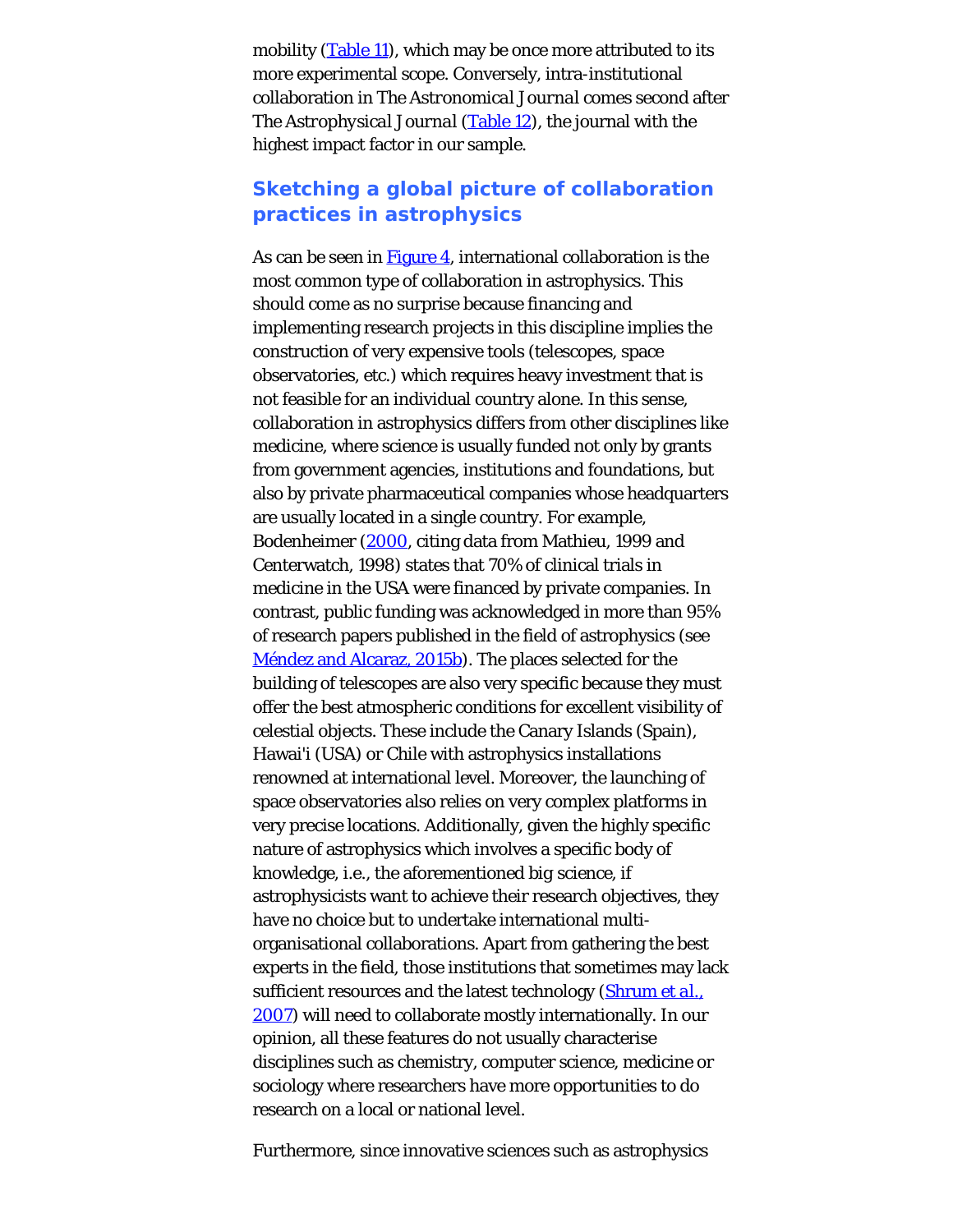mobility [\(Table 11](#page-16-0)), which may be once more attributed to its more experimental scope. Conversely, intra-institutional collaboration in *The Astronomical Journal* comes second after *The Astrophysical Journal* [\(Table 12](#page-16-1)), the journal with the highest impact factor in our sample.

# **Sketching a global picture of collaboration practices in astrophysics**

As can be seen in  $Figure 4$ , international collaboration is the most common type of collaboration in astrophysics. This should come as no surprise because financing and implementing research projects in this discipline implies the construction of very expensive tools (telescopes, space observatories, etc.) which requires heavy investment that is not feasible for an individual country alone. In this sense, collaboration in astrophysics differs from other disciplines like medicine, where science is usually funded not only by grants from government agencies, institutions and foundations, but also by private pharmaceutical companies whose headquarters are usually located in a single country. For example, Bodenheimer [\(2000](#page-27-0), citing data from Mathieu, 1999 and Centerwatch, 1998) states that 70% of clinical trials in medicine in the USA were financed by private companies. In contrast, public funding was acknowledged in more than 95% of research papers published in the field of astrophysics (see [Méndez and Alcaraz, 2015b](#page-27-0)). The places selected for the building of telescopes are also very specific because they must offer the best atmospheric conditions for excellent visibility of celestial objects. These include the Canary Islands (Spain), Hawai'i (USA) or Chile with astrophysics installations renowned at international level. Moreover, the launching of space observatories also relies on very complex platforms in very precise locations. Additionally, given the highly specific nature of astrophysics which involves a specific body of knowledge, i.e., the aforementioned *big science*, if astrophysicists want to achieve their research objectives, they have no choice but to undertake international multiorganisational collaborations. Apart from gathering the best experts in the field, those institutions that sometimes may lack sufficient resources and the latest technology ([Shrum](#page-27-8) *[et al.](#page-27-8)*[,](#page-27-8) [2007](#page-27-8)) will need to collaborate mostly internationally. In our opinion, all these features do not usually characterise disciplines such as chemistry, computer science, medicine or sociology where researchers have more opportunities to do research on a local or national level.

Furthermore, since innovative sciences such as astrophysics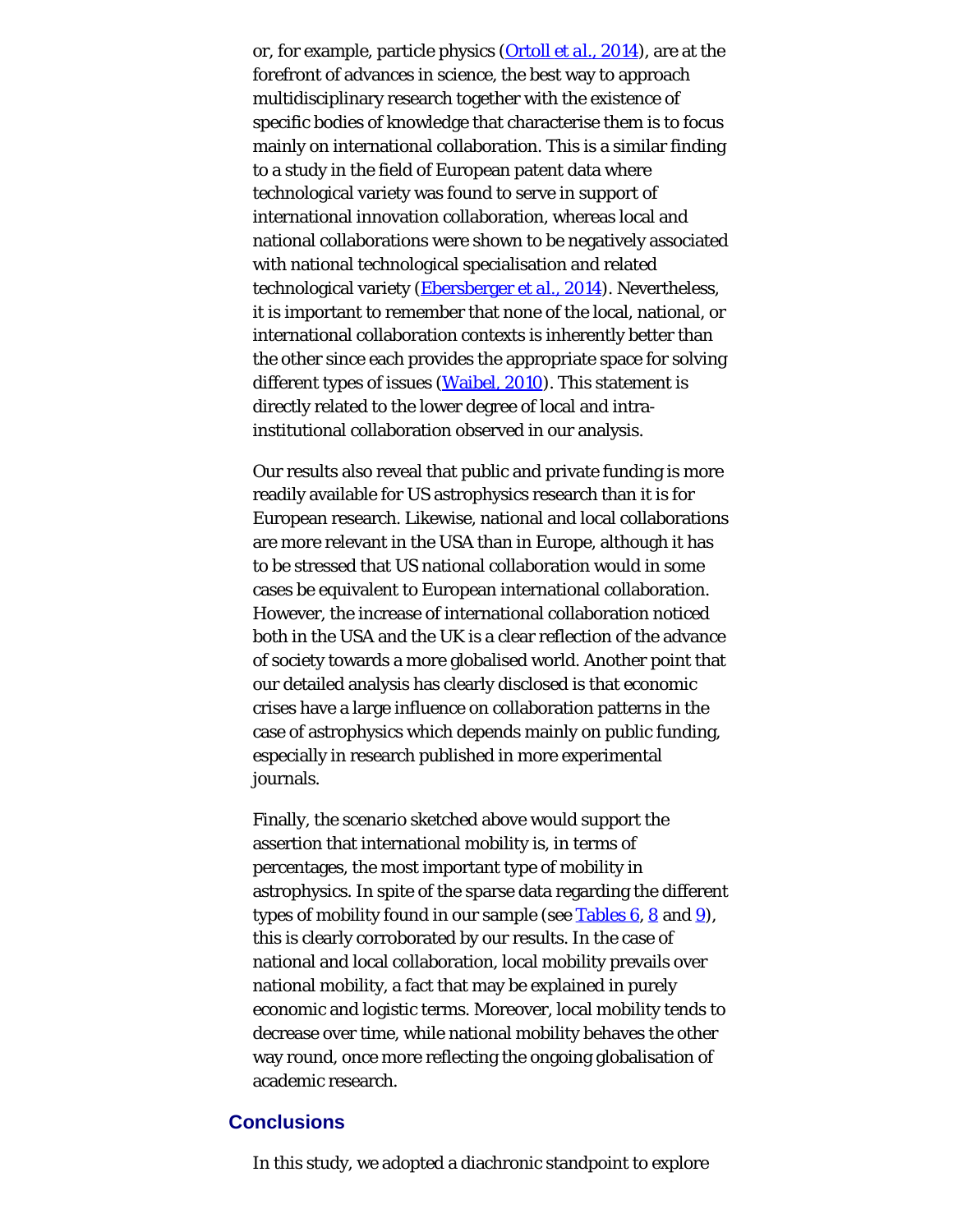or, for example, particle physics [\(Ortoll](#page-27-0) *[et al.](#page-27-0)*[, 2014](#page-27-0)), are at the forefront of advances in science, the best way to approach multidisciplinary research together with the existence of specific bodies of knowledge that characterise them is to focus mainly on international collaboration. This is a similar finding to a study in the field of European patent data where technological variety was found to serve in support of international innovation collaboration, whereas local and national collaborations were shown to be negatively associated with national technological specialisation and related technological variety [\(Ebersberger](#page-27-0) *[et al.](#page-27-0)*[, 2014](#page-27-0)). Nevertheless, it is important to remember that none of the local, national, or international collaboration contexts is inherently better than the other since each provides the appropriate space for solving different types of issues [\(Waibel, 2010](#page-27-9)). This statement is directly related to the lower degree of local and intrainstitutional collaboration observed in our analysis.

Our results also reveal that public and private funding is more readily available for US astrophysics research than it is for European research. Likewise, national and local collaborations are more relevant in the USA than in Europe, although it has to be stressed that US national collaboration would in some cases be equivalent to European international collaboration. However, the increase of international collaboration noticed both in the USA and the UK is a clear reflection of the advance of society towards a more globalised world. Another point that our detailed analysis has clearly disclosed is that economic crises have a large influence on collaboration patterns in the case of astrophysics which depends mainly on public funding, especially in research published in more experimental journals.

Finally, the scenario sketched above would support the assertion that international mobility is, in terms of percentages, the most important type of mobility in astrophysics. In spite of the sparse data regarding the different types of mobility found in our sample (see Tables  $6, 8$  $6, 8$  and  $9$ ), this is clearly corroborated by our results. In the case of national and local collaboration, local mobility prevails over national mobility, a fact that may be explained in purely economic and logistic terms. Moreover, local mobility tends to decrease over time, while national mobility behaves the other way round, once more reflecting the ongoing globalisation of academic research.

### **Conclusions**

In this study, we adopted a diachronic standpoint to explore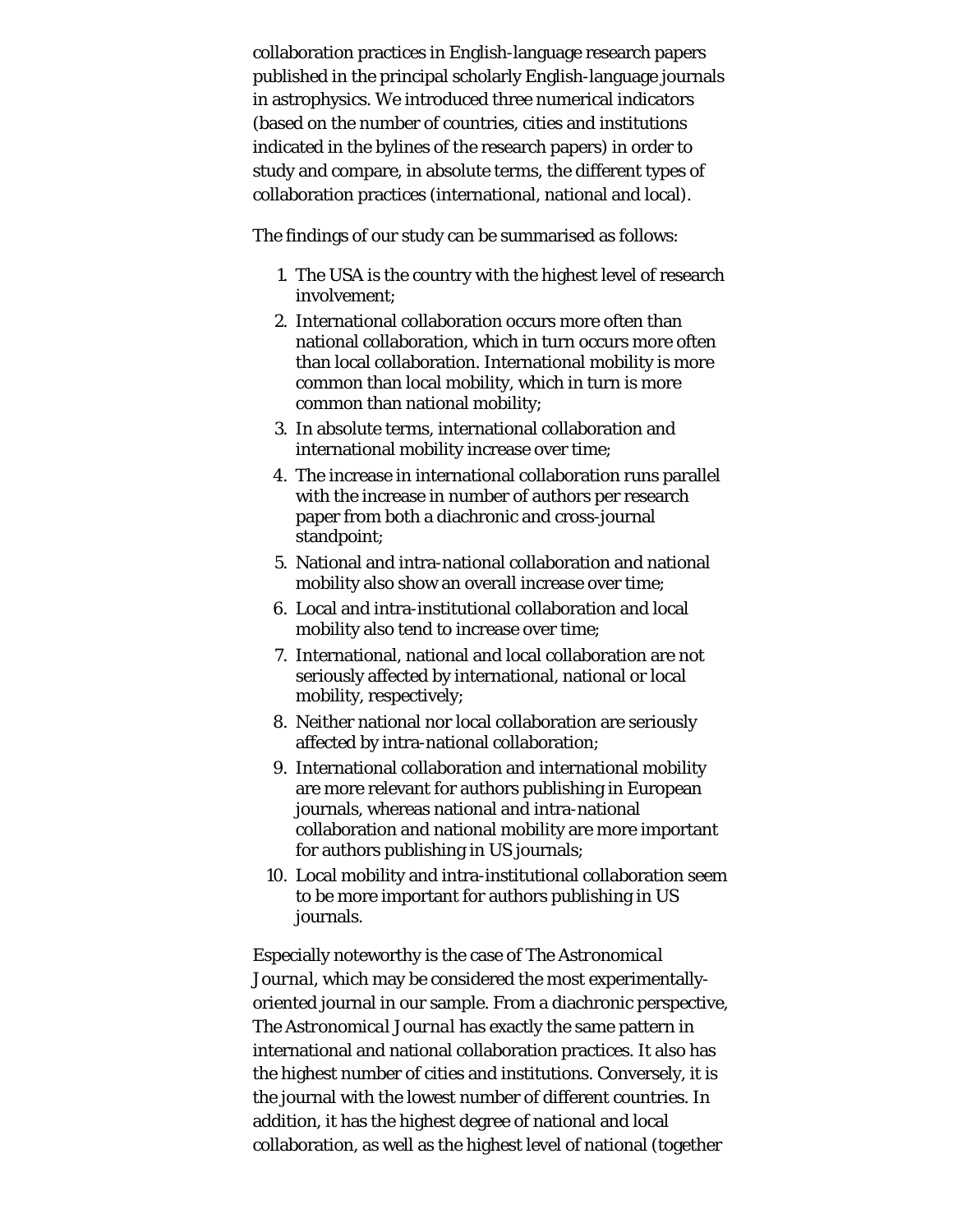collaboration practices in English-language research papers published in the principal scholarly English-language journals in astrophysics. We introduced three numerical indicators (based on the number of countries, cities and institutions indicated in the bylines of the research papers) in order to study and compare, in absolute terms, the different types of collaboration practices (international, national and local).

The findings of our study can be summarised as follows:

- 1. The USA is the country with the highest level of research involvement;
- 2. International collaboration occurs more often than national collaboration, which in turn occurs more often than local collaboration. International mobility is more common than local mobility, which in turn is more common than national mobility;
- 3. In absolute terms, international collaboration and international mobility increase over time;
- 4. The increase in international collaboration runs parallel with the increase in number of authors per research paper from both a diachronic and cross-journal standpoint;
- 5. National and intra-national collaboration and national mobility also show an overall increase over time;
- 6. Local and intra-institutional collaboration and local mobility also tend to increase over time;
- 7. International, national and local collaboration are not seriously affected by international, national or local mobility, respectively;
- 8. Neither national nor local collaboration are seriously affected by intra-national collaboration;
- 9. International collaboration and international mobility are more relevant for authors publishing in European journals, whereas national and intra-national collaboration and national mobility are more important for authors publishing in US journals;
- 10. Local mobility and intra-institutional collaboration seem to be more important for authors publishing in US journals.

Especially noteworthy is the case of *The Astronomical Journal*, which may be considered the most experimentallyoriented journal in our sample. From a diachronic perspective, *The Astronomical Journal* has exactly the same pattern in international and national collaboration practices. It also has the highest number of cities and institutions. Conversely, it is the journal with the lowest number of different countries. In addition, it has the highest degree of national and local collaboration, as well as the highest level of national (together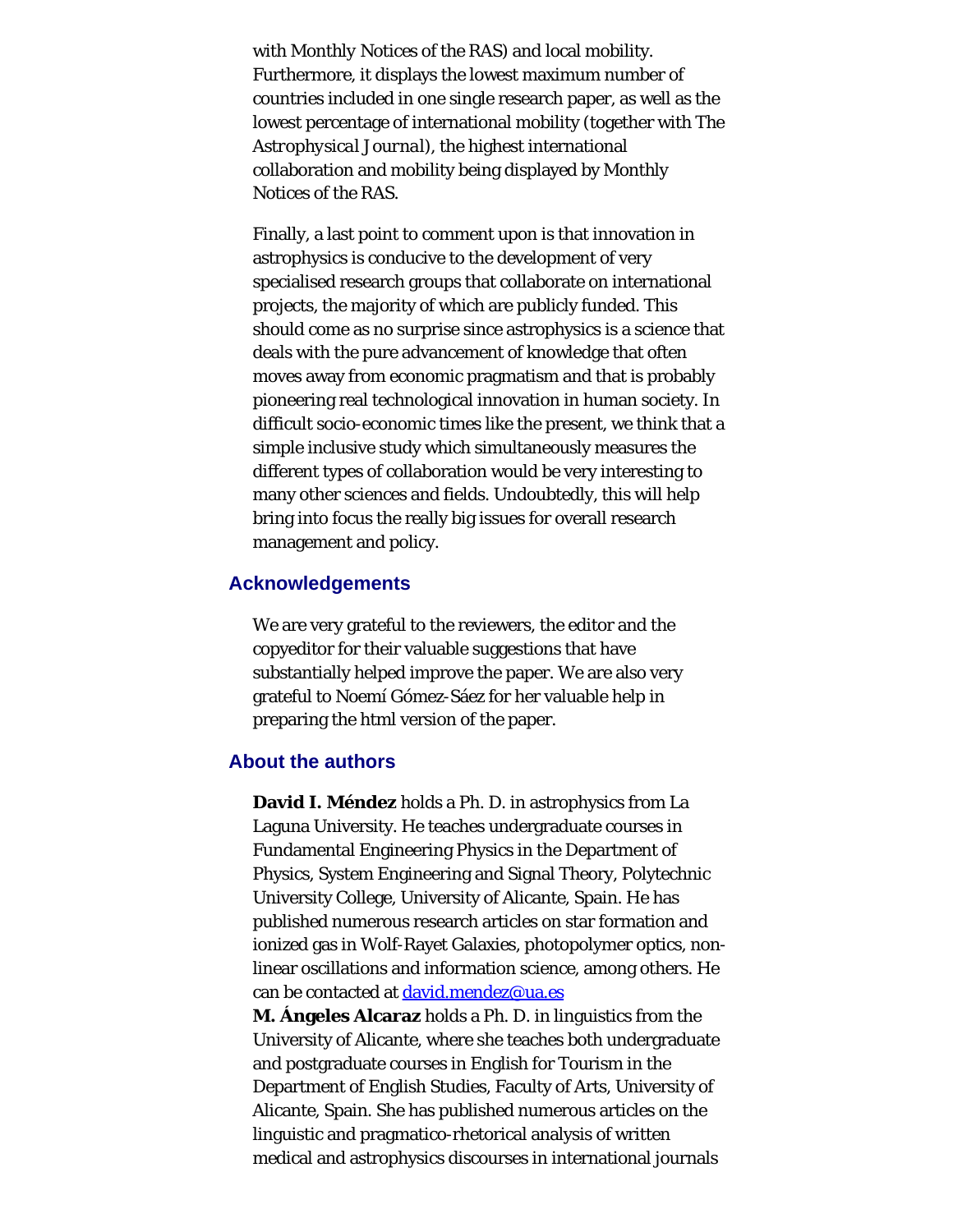with *Monthly Notices of the RAS*) and local mobility. Furthermore, it displays the lowest maximum number of countries included in one single research paper, as well as the lowest percentage of international mobility (together with *The Astrophysical Journal*), the highest international collaboration and mobility being displayed by *Monthly Notices of the RAS*.

Finally, a last point to comment upon is that innovation in astrophysics is conducive to the development of very specialised research groups that collaborate on international projects, the majority of which are publicly funded. This should come as no surprise since astrophysics is a science that deals with the pure advancement of knowledge that often moves away from economic pragmatism and that is probably pioneering real technological innovation in human society. In difficult socio-economic times like the present, we think that a simple inclusive study which simultaneously measures the different types of collaboration would be very interesting to many other sciences and fields. Undoubtedly, this will help bring into focus the really big issues for overall research management and policy.

#### **Acknowledgements**

We are very grateful to the reviewers, the editor and the copyeditor for their valuable suggestions that have substantially helped improve the paper. We are also very grateful to Noemí Gómez-Sáez for her valuable help in preparing the html version of the paper.

#### <span id="page-24-0"></span>**About the authors**

**David I. Méndez** holds a Ph. D. in astrophysics from La Laguna University. He teaches undergraduate courses in Fundamental Engineering Physics in the Department of Physics, System Engineering and Signal Theory, Polytechnic University College, University of Alicante, Spain. He has published numerous research articles on star formation and ionized gas in Wolf-Rayet Galaxies, photopolymer optics, nonlinear oscillations and information science, among others. He can be contacted at [david.mendez@ua.es](mailto:david.mendez@ua.es)

**M. Ángeles Alcaraz** holds a Ph. D. in linguistics from the University of Alicante, where she teaches both undergraduate and postgraduate courses in English for Tourism in the Department of English Studies, Faculty of Arts, University of Alicante, Spain. She has published numerous articles on the linguistic and pragmatico-rhetorical analysis of written medical and astrophysics discourses in international journals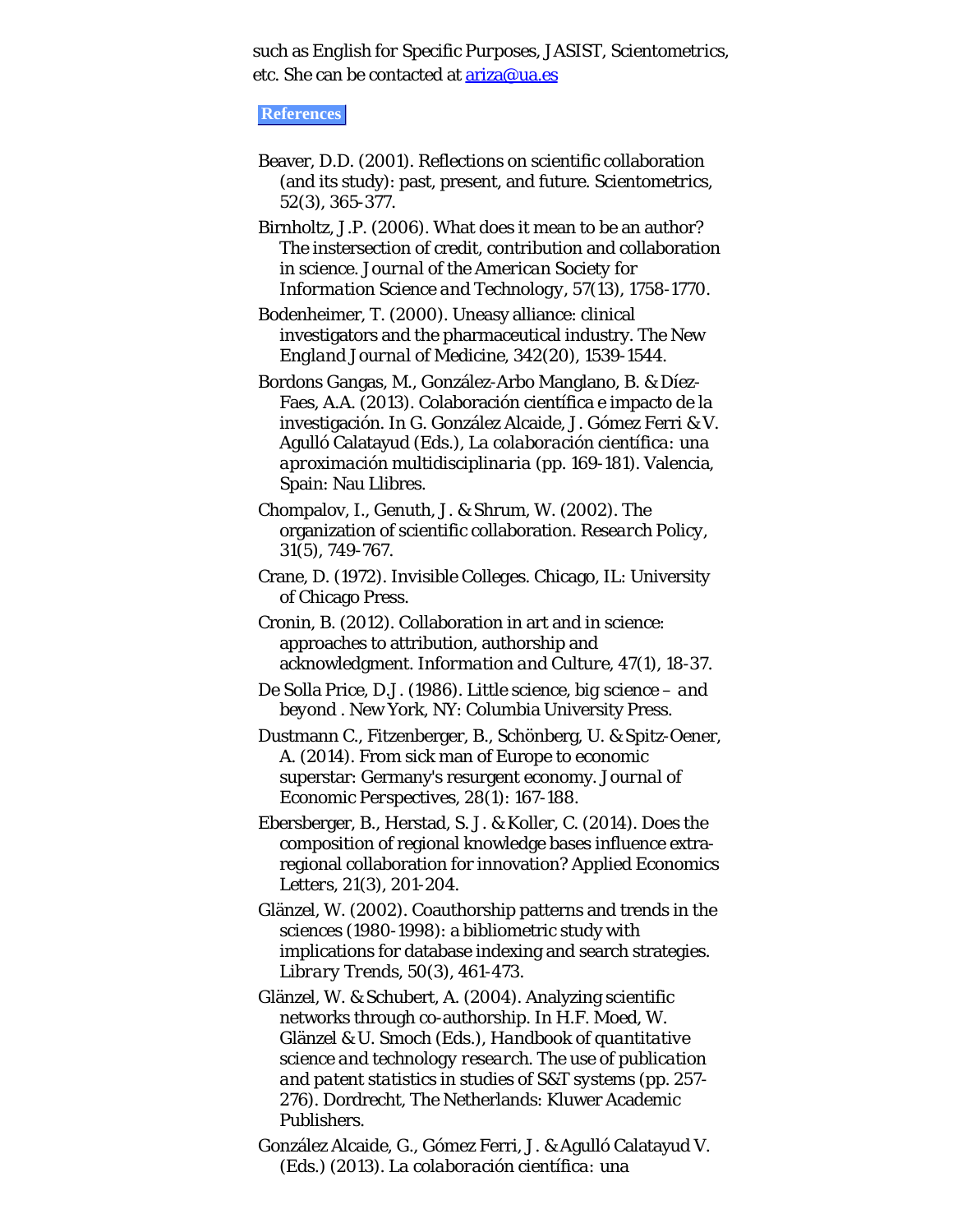such as *English for Specific Purposes, JASIST, Scientometrics*, etc. She can be contacted at **ariza@ua.es** 

#### **References**

Beaver, D.D. (2001). Reflections on scientific collaboration (and its study): past, present, and future. *Scientometrics, 52*(3), 365-377.

Birnholtz, J.P. (2006). What does it mean to be an author? The instersection of credit, contribution and collaboration in science. *Journal of the American Society for Information Science and Technology, 57*(13), 1758-1770.

Bodenheimer, T. (2000). Uneasy alliance: clinical investigators and the pharmaceutical industry. *The New England Journal of Medicine, 342*(20), 1539-1544.

Bordons Gangas, M., González-Arbo Manglano, B. & Díez-Faes, A.A. (2013). Colaboración científica e impacto de la investigación. In G. González Alcaide, J. Gómez Ferri & V. Agulló Calatayud (Eds.), *La colaboración científica: una aproximación multidisciplinaria* (pp. 169-181). Valencia, Spain: Nau Llibres.

Chompalov, I., Genuth, J. & Shrum, W. (2002). The organization of scientific collaboration. *Research Policy, 31*(5), 749-767.

Crane, D. (1972). *Invisible Colleges*. Chicago, IL: University of Chicago Press.

Cronin, B. (2012). Collaboration in art and in science: approaches to attribution, authorship and acknowledgment. *Information and Culture, 47*(1), 18-37.

De Solla Price, D.J. (1986). *Little science, big science – and beyond* . New York, NY: Columbia University Press.

Dustmann C., Fitzenberger, B., Schönberg, U. & Spitz-Oener, A. (2014). From sick man of Europe to economic superstar: Germany's resurgent economy. *Journal of Economic Perspectives, 28*(1): 167-188.

Ebersberger, B., Herstad, S. J. & Koller, C. (2014). Does the composition of regional knowledge bases influence extraregional collaboration for innovation? *Applied Economics Letters, 21*(3), 201-204.

Glänzel, W. (2002). Coauthorship patterns and trends in the sciences (1980-1998): a bibliometric study with implications for database indexing and search strategies. *Library Trends, 50*(3), 461-473.

Glänzel, W. & Schubert, A. (2004). Analyzing scientific networks through co-authorship. In H.F. Moed, W. Glänzel & U. Smoch (Eds.), *Handbook of quantitative science and technology research. The use of publication and patent statistics in studies of S&T systems* (pp. 257- 276). Dordrecht, The Netherlands: Kluwer Academic Publishers.

González Alcaide, G., Gómez Ferri, J. & Agulló Calatayud V. (Eds.) (2013). *La colaboración científica: una*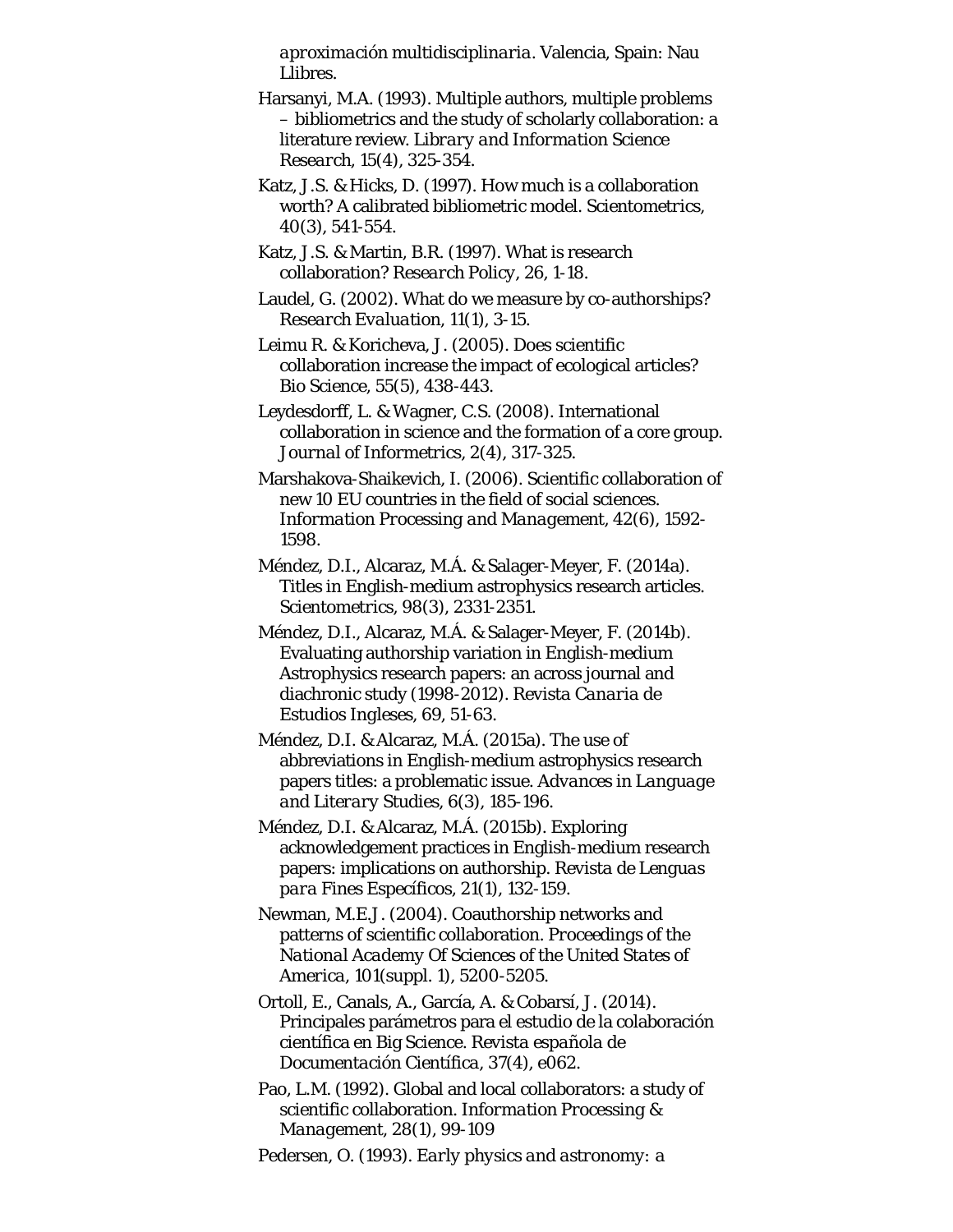*aproximación multidisciplinaria*. Valencia, Spain: Nau Llibres.

Harsanyi, M.A. (1993). Multiple authors, multiple problems – bibliometrics and the study of scholarly collaboration: a literature review. *Library and Information Science Research, 15*(4), 325-354.

Katz, J.S. & Hicks, D. (1997). How much is a collaboration worth? A calibrated bibliometric model. *Scientometrics, 40*(3), 541-554.

Katz, J.S. & Martin, B.R. (1997). What is research collaboration? *Research Policy, 26*, 1-18.

Laudel, G. (2002). What do we measure by co-authorships? *Research Evaluation, 11*(1), 3-15.

Leimu R. & Koricheva, J. (2005). Does scientific collaboration increase the impact of ecological articles? *Bio Science, 55*(5), 438-443.

Leydesdorff, L. & Wagner, C.S. (2008). International collaboration in science and the formation of a core group. *Journal of Informetrics, 2*(4), 317-325.

Marshakova-Shaikevich, I. (2006). Scientific collaboration of new 10 EU countries in the field of social sciences. *Information Processing and Management, 42*(6), 1592- 1598.

Méndez, D.I., Alcaraz, M.Á. & Salager-Meyer, F. (2014a). Titles in English-medium astrophysics research articles. *Scientometrics, 98*(3), 2331-2351.

Méndez, D.I., Alcaraz, M.Á. & Salager-Meyer, F. (2014b). Evaluating authorship variation in English-medium Astrophysics research papers: an across journal and diachronic study (1998-2012). *Revista Canaria de Estudios Ingleses, 69*, 51-63.

Méndez, D.I. & Alcaraz, M.Á. (2015a). The use of abbreviations in English-medium astrophysics research papers titles: a problematic issue. *Advances in Language and Literary Studies, 6*(3), 185-196.

Méndez, D.I. & Alcaraz, M.Á. (2015b). Exploring acknowledgement practices in English-medium research papers: implications on authorship. *Revista de Lenguas para Fines Específicos, 21*(1), 132-159.

Newman, M.E.J. (2004). Coauthorship networks and patterns of scientific collaboration. *Proceedings of the National Academy Of Sciences of the United States of America, 101*(suppl. 1), 5200-5205.

Ortoll, E., Canals, A., García, A. & Cobarsí, J. (2014). Principales parámetros para el estudio de la colaboración científica en Big Science. *Revista española de Documentación Científica, 37*(4), e062.

Pao, L.M. (1992). Global and local collaborators: a study of scientific collaboration. *Information Processing & Management, 28*(1), 99-109

Pedersen, O. (1993). *Early physics and astronomy: a*